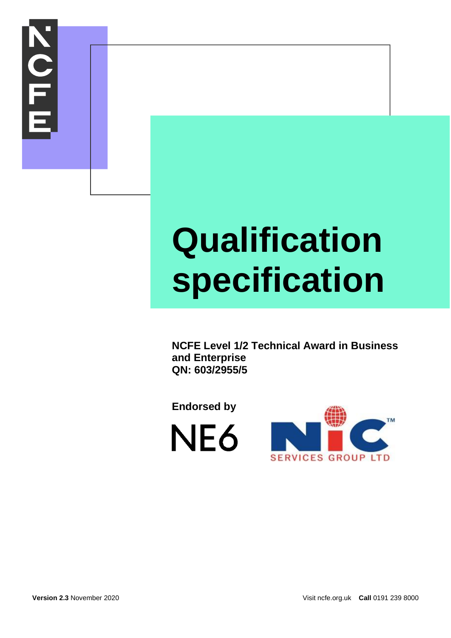

## **Qualification specification**

**NCFE Level 1/2 Technical Award in Business and Enterprise QN: 603/2955/5**

**Endorsed by**



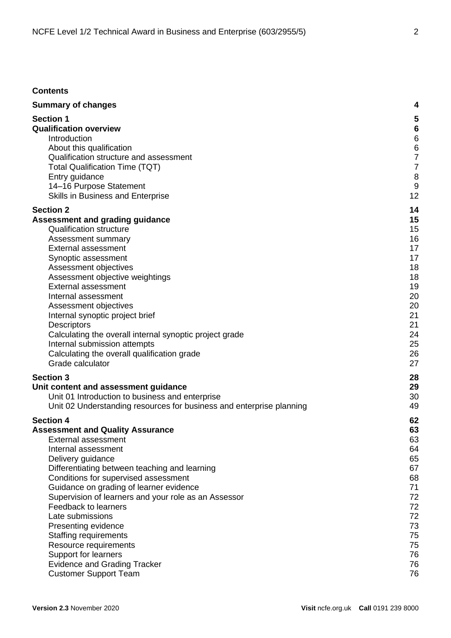#### **Contents**

| <b>Summary of changes</b>                                                                       | 4                   |
|-------------------------------------------------------------------------------------------------|---------------------|
| <b>Section 1</b>                                                                                | 5                   |
| <b>Qualification overview</b>                                                                   | $6\phantom{1}6$     |
| Introduction                                                                                    | 6                   |
| About this qualification<br>Qualification structure and assessment                              | 6<br>$\overline{7}$ |
|                                                                                                 | 7                   |
| <b>Total Qualification Time (TQT)</b><br>Entry guidance                                         | 8                   |
| 14-16 Purpose Statement                                                                         | 9                   |
| Skills in Business and Enterprise                                                               | 12                  |
|                                                                                                 |                     |
| <b>Section 2</b>                                                                                | 14<br>15            |
| Assessment and grading guidance<br><b>Qualification structure</b>                               | 15                  |
| Assessment summary                                                                              | 16                  |
| <b>External assessment</b>                                                                      | 17                  |
| Synoptic assessment                                                                             | 17                  |
| Assessment objectives                                                                           | 18                  |
| Assessment objective weightings                                                                 | 18                  |
| <b>External assessment</b>                                                                      | 19                  |
| Internal assessment                                                                             | 20                  |
| Assessment objectives                                                                           | 20                  |
| Internal synoptic project brief                                                                 | 21                  |
| Descriptors                                                                                     | 21                  |
| Calculating the overall internal synoptic project grade                                         | 24                  |
| Internal submission attempts                                                                    | 25                  |
| Calculating the overall qualification grade                                                     | 26                  |
| Grade calculator                                                                                | 27                  |
| <b>Section 3</b>                                                                                | 28                  |
| Unit content and assessment guidance                                                            | 29                  |
| Unit 01 Introduction to business and enterprise                                                 | 30                  |
| Unit 02 Understanding resources for business and enterprise planning                            | 49                  |
| <b>Section 4</b>                                                                                | 62                  |
| <b>Assessment and Quality Assurance</b>                                                         | 63                  |
| External assessment                                                                             | 63                  |
| Internal assessment                                                                             | 64                  |
| Delivery guidance                                                                               | 65                  |
| Differentiating between teaching and learning                                                   | 67                  |
| Conditions for supervised assessment                                                            | 68<br>71            |
| Guidance on grading of learner evidence<br>Supervision of learners and your role as an Assessor | 72                  |
| Feedback to learners                                                                            | 72                  |
| Late submissions                                                                                | 72                  |
| Presenting evidence                                                                             | 73                  |
| <b>Staffing requirements</b>                                                                    | 75                  |
| Resource requirements                                                                           | 75                  |
| Support for learners                                                                            | 76                  |
| <b>Evidence and Grading Tracker</b>                                                             | 76                  |
| <b>Customer Support Team</b>                                                                    | 76                  |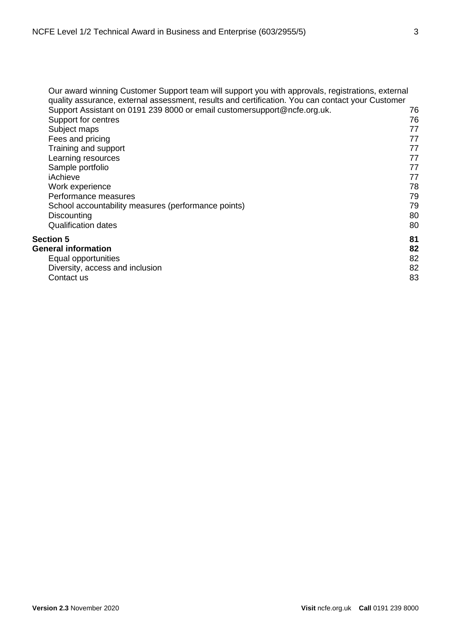| Our award winning Customer Support team will support you with approvals, registrations, external<br>quality assurance, external assessment, results and certification. You can contact your Customer<br>Support Assistant on 0191 239 8000 or email customersupport@ncfe.org.uk.<br>Support for centres<br>Subject maps<br>Fees and pricing<br>Training and support<br>Learning resources<br>Sample portfolio<br>iAchieve<br>Work experience<br>Performance measures<br>School accountability measures (performance points)<br>Discounting<br><b>Qualification dates</b> | 76<br>76<br>77<br>77<br>77<br>77<br>77<br>77<br>78<br>79<br>79<br>80<br>80 |
|--------------------------------------------------------------------------------------------------------------------------------------------------------------------------------------------------------------------------------------------------------------------------------------------------------------------------------------------------------------------------------------------------------------------------------------------------------------------------------------------------------------------------------------------------------------------------|----------------------------------------------------------------------------|
|                                                                                                                                                                                                                                                                                                                                                                                                                                                                                                                                                                          |                                                                            |
| Section 5                                                                                                                                                                                                                                                                                                                                                                                                                                                                                                                                                                | 81                                                                         |
| <b>General information</b>                                                                                                                                                                                                                                                                                                                                                                                                                                                                                                                                               | 82                                                                         |
| Equal opportunities                                                                                                                                                                                                                                                                                                                                                                                                                                                                                                                                                      | 82                                                                         |
| Diversity, access and inclusion                                                                                                                                                                                                                                                                                                                                                                                                                                                                                                                                          | 82                                                                         |
| Contact us                                                                                                                                                                                                                                                                                                                                                                                                                                                                                                                                                               | 83                                                                         |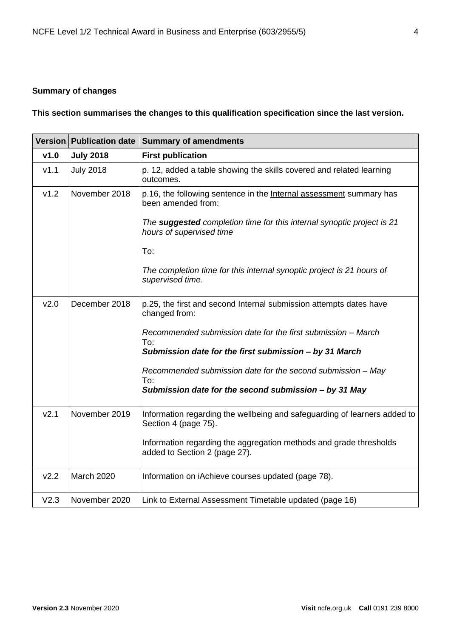#### <span id="page-3-0"></span>**Summary of changes**

**This section summarises the changes to this qualification specification since the last version.**

|                  | <b>Version Publication date</b> | Summary of amendments                                                                               |  |  |
|------------------|---------------------------------|-----------------------------------------------------------------------------------------------------|--|--|
| v1.0             | <b>July 2018</b>                | <b>First publication</b>                                                                            |  |  |
| V1.1             | <b>July 2018</b>                | p. 12, added a table showing the skills covered and related learning<br>outcomes.                   |  |  |
| v1.2             | November 2018                   | p.16, the following sentence in the Internal assessment summary has<br>been amended from:           |  |  |
|                  |                                 | The suggested completion time for this internal synoptic project is 21<br>hours of supervised time  |  |  |
|                  |                                 | To:                                                                                                 |  |  |
|                  |                                 | The completion time for this internal synoptic project is 21 hours of<br>supervised time.           |  |  |
| V <sub>2.0</sub> | December 2018                   | p.25, the first and second Internal submission attempts dates have<br>changed from:                 |  |  |
|                  |                                 | Recommended submission date for the first submission - March<br>To:                                 |  |  |
|                  |                                 | Submission date for the first submission - by 31 March                                              |  |  |
|                  |                                 | Recommended submission date for the second submission - May<br>To:                                  |  |  |
|                  |                                 | Submission date for the second submission - by 31 May                                               |  |  |
| V <sub>2.1</sub> | November 2019                   | Information regarding the wellbeing and safeguarding of learners added to<br>Section 4 (page 75).   |  |  |
|                  |                                 | Information regarding the aggregation methods and grade thresholds<br>added to Section 2 (page 27). |  |  |
| V <sub>2.2</sub> | <b>March 2020</b>               | Information on iAchieve courses updated (page 78).                                                  |  |  |
| V2.3             | November 2020                   | Link to External Assessment Timetable updated (page 16)                                             |  |  |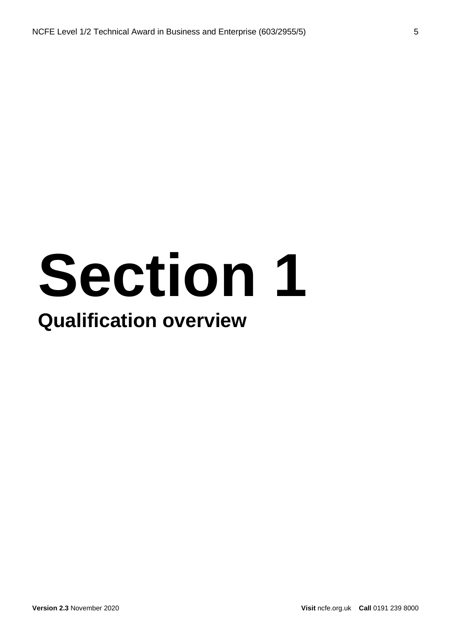## **Section 1 Qualification overview**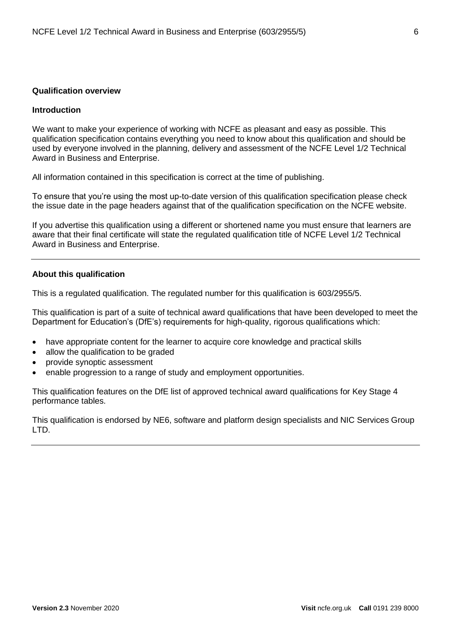#### <span id="page-5-0"></span>**Qualification overview**

#### <span id="page-5-1"></span>**Introduction**

We want to make your experience of working with NCFE as pleasant and easy as possible. This qualification specification contains everything you need to know about this qualification and should be used by everyone involved in the planning, delivery and assessment of the NCFE Level 1/2 Technical Award in Business and Enterprise.

All information contained in this specification is correct at the time of publishing.

To ensure that you're using the most up-to-date version of this qualification specification please check the issue date in the page headers against that of the qualification specification on the NCFE website.

If you advertise this qualification using a different or shortened name you must ensure that learners are aware that their final certificate will state the regulated qualification title of NCFE Level 1/2 Technical Award in Business and Enterprise.

#### <span id="page-5-2"></span>**About this qualification**

This is a regulated qualification. The regulated number for this qualification is 603/2955/5.

This qualification is part of a suite of technical award qualifications that have been developed to meet the Department for Education's (DfE's) requirements for high-quality, rigorous qualifications which:

- have appropriate content for the learner to acquire core knowledge and practical skills
- allow the qualification to be graded
- provide synoptic assessment
- enable progression to a range of study and employment opportunities.

This qualification features on the DfE list of approved technical award qualifications for Key Stage 4 performance tables.

This qualification is endorsed by NE6, software and platform design specialists and NIC Services Group LTD.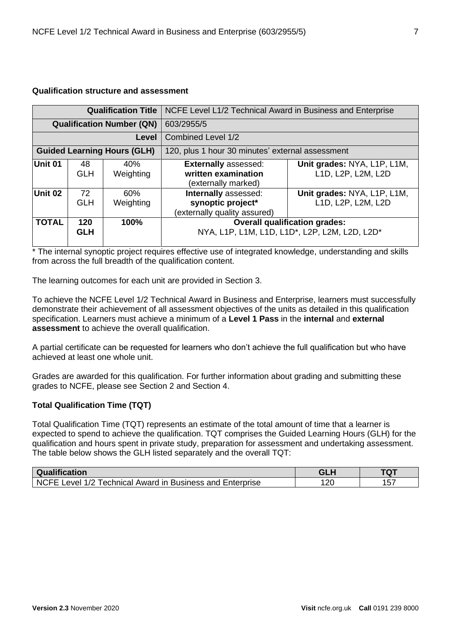#### <span id="page-6-0"></span>**Qualification structure and assessment**

|              | NCFE Level L1/2 Technical Award in Business and Enterprise<br><b>Qualification Title</b> |                                    |                                                                                       |                                                   |  |
|--------------|------------------------------------------------------------------------------------------|------------------------------------|---------------------------------------------------------------------------------------|---------------------------------------------------|--|
|              | <b>Qualification Number (QN)</b><br>603/2955/5                                           |                                    |                                                                                       |                                                   |  |
| Level        |                                                                                          |                                    | <b>Combined Level 1/2</b>                                                             |                                                   |  |
|              |                                                                                          | <b>Guided Learning Hours (GLH)</b> | 120, plus 1 hour 30 minutes' external assessment                                      |                                                   |  |
| Unit 01      | 48<br><b>GLH</b>                                                                         | 40%<br>Weighting                   | <b>Externally assessed:</b><br>written examination<br>(externally marked)             | Unit grades: NYA, L1P, L1M,<br>L1D, L2P, L2M, L2D |  |
| Unit 02      | 72<br><b>GLH</b>                                                                         | 60%<br>Weighting                   | Internally assessed:<br>synoptic project*<br>(externally quality assured)             | Unit grades: NYA, L1P, L1M,<br>L1D, L2P, L2M, L2D |  |
| <b>TOTAL</b> | 120<br><b>GLH</b>                                                                        | 100%                               | <b>Overall qualification grades:</b><br>NYA, L1P, L1M, L1D, L1D*, L2P, L2M, L2D, L2D* |                                                   |  |

\* The internal synoptic project requires effective use of integrated knowledge, understanding and skills from across the full breadth of the qualification content.

The learning outcomes for each unit are provided in Section 3.

To achieve the NCFE Level 1/2 Technical Award in Business and Enterprise, learners must successfully demonstrate their achievement of all assessment objectives of the units as detailed in this qualification specification. Learners must achieve a minimum of a **Level 1 Pass** in the **internal** and **external assessment** to achieve the overall qualification.

A partial certificate can be requested for learners who don't achieve the full qualification but who have achieved at least one whole unit.

Grades are awarded for this qualification. For further information about grading and submitting these grades to NCFE, please see Section 2 and Section 4.

#### <span id="page-6-1"></span>**Total Qualification Time (TQT)**

Total Qualification Time (TQT) represents an estimate of the total amount of time that a learner is expected to spend to achieve the qualification. TQT comprises the Guided Learning Hours (GLH) for the qualification and hours spent in private study, preparation for assessment and undertaking assessment. The table below shows the GLH listed separately and the overall TQT:

| Qualification                                                | <b>GLH</b> | <b>TQT</b> |
|--------------------------------------------------------------|------------|------------|
| NCFE Level 1/2<br>Technical Award in Business and Enterprise | 20         | 157        |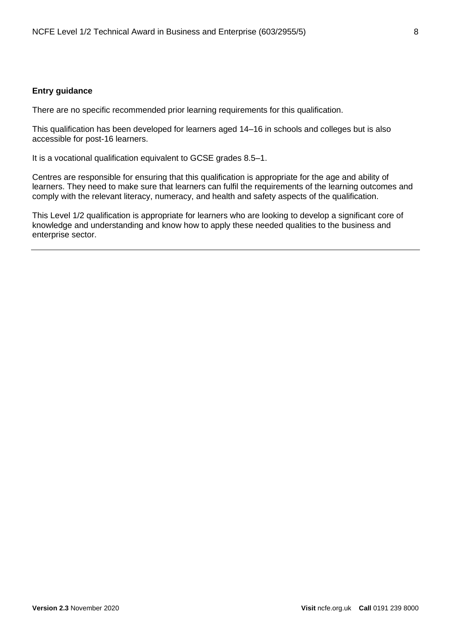#### <span id="page-7-0"></span>**Entry guidance**

There are no specific recommended prior learning requirements for this qualification.

This qualification has been developed for learners aged 14–16 in schools and colleges but is also accessible for post-16 learners.

It is a vocational qualification equivalent to GCSE grades 8.5–1.

Centres are responsible for ensuring that this qualification is appropriate for the age and ability of learners. They need to make sure that learners can fulfil the requirements of the learning outcomes and comply with the relevant literacy, numeracy, and health and safety aspects of the qualification.

This Level 1/2 qualification is appropriate for learners who are looking to develop a significant core of knowledge and understanding and know how to apply these needed qualities to the business and enterprise sector.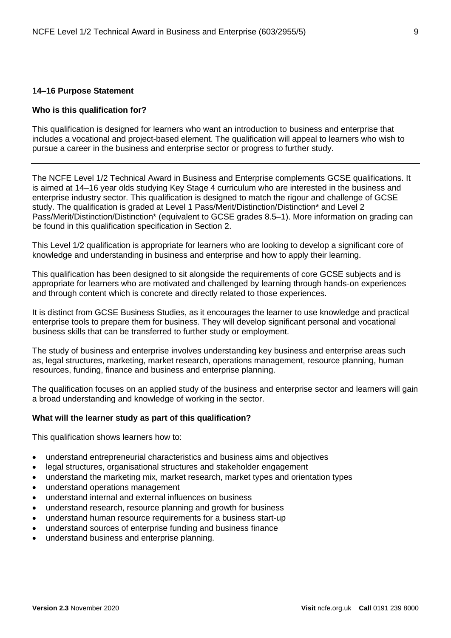#### <span id="page-8-0"></span>**14–16 Purpose Statement**

#### **Who is this qualification for?**

This qualification is designed for learners who want an introduction to business and enterprise that includes a vocational and project-based element. The qualification will appeal to learners who wish to pursue a career in the business and enterprise sector or progress to further study.

The NCFE Level 1/2 Technical Award in Business and Enterprise complements GCSE qualifications. It is aimed at 14–16 year olds studying Key Stage 4 curriculum who are interested in the business and enterprise industry sector. This qualification is designed to match the rigour and challenge of GCSE study. The qualification is graded at Level 1 Pass/Merit/Distinction/Distinction\* and Level 2 Pass/Merit/Distinction/Distinction\* (equivalent to GCSE grades 8.5–1). More information on grading can be found in this qualification specification in Section 2.

This Level 1/2 qualification is appropriate for learners who are looking to develop a significant core of knowledge and understanding in business and enterprise and how to apply their learning.

This qualification has been designed to sit alongside the requirements of core GCSE subjects and is appropriate for learners who are motivated and challenged by learning through hands-on experiences and through content which is concrete and directly related to those experiences.

It is distinct from GCSE Business Studies, as it encourages the learner to use knowledge and practical enterprise tools to prepare them for business. They will develop significant personal and vocational business skills that can be transferred to further study or employment.

The study of business and enterprise involves understanding key business and enterprise areas such as, legal structures, marketing, market research, operations management, resource planning, human resources, funding, finance and business and enterprise planning.

The qualification focuses on an applied study of the business and enterprise sector and learners will gain a broad understanding and knowledge of working in the sector.

#### **What will the learner study as part of this qualification?**

This qualification shows learners how to:

- understand entrepreneurial characteristics and business aims and objectives
- legal structures, organisational structures and stakeholder engagement
- understand the marketing mix, market research, market types and orientation types
- understand operations management
- understand internal and external influences on business
- understand research, resource planning and growth for business
- understand human resource requirements for a business start-up
- understand sources of enterprise funding and business finance
- understand business and enterprise planning.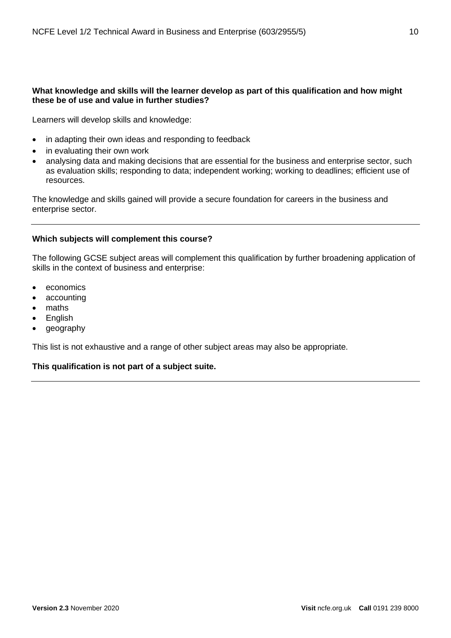#### **What knowledge and skills will the learner develop as part of this qualification and how might these be of use and value in further studies?**

Learners will develop skills and knowledge:

- in adapting their own ideas and responding to feedback
- in evaluating their own work
- analysing data and making decisions that are essential for the business and enterprise sector, such as evaluation skills; responding to data; independent working; working to deadlines; efficient use of resources.

The knowledge and skills gained will provide a secure foundation for careers in the business and enterprise sector.

#### **Which subjects will complement this course?**

The following GCSE subject areas will complement this qualification by further broadening application of skills in the context of business and enterprise:

- economics
- accounting
- maths
- English
- geography

This list is not exhaustive and a range of other subject areas may also be appropriate.

**This qualification is not part of a subject suite.**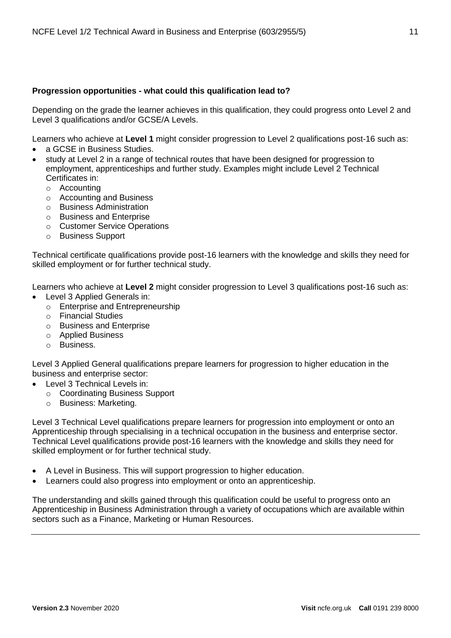#### **Progression opportunities - what could this qualification lead to?**

Depending on the grade the learner achieves in this qualification, they could progress onto Level 2 and Level 3 qualifications and/or GCSE/A Levels.

Learners who achieve at **Level 1** might consider progression to Level 2 qualifications post-16 such as:

- a GCSE in Business Studies.
- study at Level 2 in a range of technical routes that have been designed for progression to employment, apprenticeships and further study. Examples might include Level 2 Technical Certificates in:
	- o Accounting
	- o Accounting and Business
	- o Business Administration
	- o Business and Enterprise
	- o Customer Service Operations
	- o Business Support

Technical certificate qualifications provide post-16 learners with the knowledge and skills they need for skilled employment or for further technical study.

Learners who achieve at **Level 2** might consider progression to Level 3 qualifications post-16 such as:

- Level 3 Applied Generals in:
	- o Enterprise and Entrepreneurship
	- o Financial Studies
	- o Business and Enterprise
	- o Applied Business
	- o Business.

Level 3 Applied General qualifications prepare learners for progression to higher education in the business and enterprise sector:

- Level 3 Technical Levels in:
	- o Coordinating Business Support
	- o Business: Marketing.

Level 3 Technical Level qualifications prepare learners for progression into employment or onto an Apprenticeship through specialising in a technical occupation in the business and enterprise sector. Technical Level qualifications provide post-16 learners with the knowledge and skills they need for skilled employment or for further technical study.

- A Level in Business. This will support progression to higher education.
- Learners could also progress into employment or onto an apprenticeship.

The understanding and skills gained through this qualification could be useful to progress onto an Apprenticeship in Business Administration through a variety of occupations which are available within sectors such as a Finance, Marketing or Human Resources.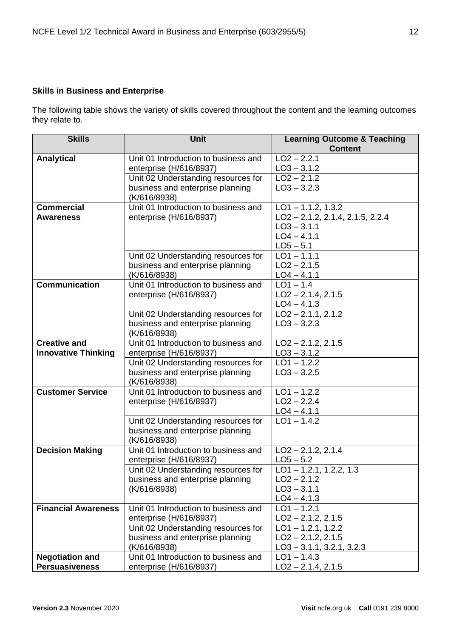#### <span id="page-11-0"></span>**Skills in Business and Enterprise**

The following table shows the variety of skills covered throughout the content and the learning outcomes they relate to.

| <b>Skills</b>              | <b>Unit</b>                                                             | <b>Learning Outcome &amp; Teaching</b><br><b>Content</b> |
|----------------------------|-------------------------------------------------------------------------|----------------------------------------------------------|
| <b>Analytical</b>          | Unit 01 Introduction to business and                                    | $LO2 - 2.2.1$                                            |
|                            | enterprise (H/616/8937)                                                 | $LO3 - 3.1.2$                                            |
|                            | Unit 02 Understanding resources for                                     | $\overline{LO2} - 2.1.2$                                 |
|                            | business and enterprise planning                                        | $LO3 - 3.2.3$                                            |
|                            | (K/616/8938)                                                            |                                                          |
| <b>Commercial</b>          | Unit 01 Introduction to business and                                    | $LO1 - 1.1.2, 1.3.2$                                     |
| <b>Awareness</b>           | enterprise (H/616/8937)                                                 | $LO2 - 2.1.2, 2.1.4, 2.1.5, 2.2.4$                       |
|                            |                                                                         | $LO3 - 3.1.1$                                            |
|                            |                                                                         | $LO4 - 4.1.1$                                            |
|                            |                                                                         | $LO5 - 5.1$<br>$LO1 - 1.1.1$                             |
|                            | Unit 02 Understanding resources for<br>business and enterprise planning | $LO2 - 2.1.5$                                            |
|                            | (K/616/8938)                                                            | $LO4 - 4.1.1$                                            |
| <b>Communication</b>       | Unit 01 Introduction to business and                                    | $LO1 - 1.4$                                              |
|                            | enterprise (H/616/8937)                                                 | $LO2 - 2.1.4$ , 2.1.5                                    |
|                            |                                                                         | $LO4 - 4.1.3$                                            |
|                            | Unit 02 Understanding resources for                                     | $LO2 - 2.1.1, 2.1.2$                                     |
|                            | business and enterprise planning                                        | $LO3 - 3.2.3$                                            |
|                            | (K/616/8938)                                                            |                                                          |
| <b>Creative and</b>        | Unit 01 Introduction to business and                                    | $LO2 - 2.1.2, 2.1.5$                                     |
| <b>Innovative Thinking</b> | enterprise (H/616/8937)                                                 | $LO3 - 3.1.2$                                            |
|                            | Unit 02 Understanding resources for                                     | $\overline{LO}1 - 1.2.2$                                 |
|                            | business and enterprise planning                                        | $LO3 - 3.2.5$                                            |
| <b>Customer Service</b>    | (K/616/8938)                                                            |                                                          |
|                            | Unit 01 Introduction to business and<br>enterprise (H/616/8937)         | $LO1 - 1.2.2$<br>$LO2 - 2.2.4$                           |
|                            |                                                                         | $LO4 - 4.1.1$                                            |
|                            | Unit 02 Understanding resources for                                     | $LO1 - 1.4.2$                                            |
|                            | business and enterprise planning                                        |                                                          |
|                            | (K/616/8938)                                                            |                                                          |
| <b>Decision Making</b>     | Unit 01 Introduction to business and                                    | $LO2 - 2.1.2, 2.1.4$                                     |
|                            | enterprise (H/616/8937)                                                 | $LO5 - 5.2$                                              |
|                            | Unit 02 Understanding resources for                                     | $LO1 - 1.2.1, 1.2.2, 1.3$                                |
|                            | business and enterprise planning                                        | $LO2 - 2.1.2$                                            |
|                            | (K/616/8938)                                                            | $LO3 - 3.1.1$                                            |
|                            |                                                                         | $LO4 - 4.1.3$                                            |
| <b>Financial Awareness</b> | Unit 01 Introduction to business and                                    | $LO1 - 1.2.1$                                            |
|                            | enterprise (H/616/8937)<br>Unit 02 Understanding resources for          | $LO2 - 2.1.2, 2.1.5$<br>$LO1 - 1.2.1, 1.2.2$             |
|                            | business and enterprise planning                                        | $LO2 - 2.1.2, 2.1.5$                                     |
|                            | (K/616/8938)                                                            | $LO3 - 3.1.1, 3.2.1, 3.2.3$                              |
| <b>Negotiation and</b>     | Unit 01 Introduction to business and                                    | $LO1 - 1.4.3$                                            |
| <b>Persuasiveness</b>      | enterprise (H/616/8937)                                                 | $LO2 - 2.1.4, 2.1.5$                                     |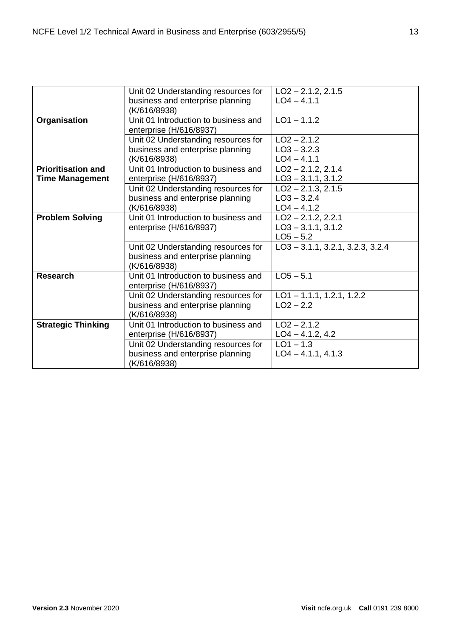|                                                     | Unit 02 Understanding resources for<br>business and enterprise planning<br>(K/616/8938) | $LO2 - 2.1.2, 2.1.5$<br>$LO4 - 4.1.1$                       |
|-----------------------------------------------------|-----------------------------------------------------------------------------------------|-------------------------------------------------------------|
| Organisation                                        | Unit 01 Introduction to business and<br>enterprise (H/616/8937)                         | $LO1 - 1.1.2$                                               |
|                                                     | Unit 02 Understanding resources for<br>business and enterprise planning<br>(K/616/8938) | $LO2 - 2.1.2$<br>$LO3 - 3.2.3$<br>$LO4 - 4.1.1$             |
| <b>Prioritisation and</b><br><b>Time Management</b> | Unit 01 Introduction to business and<br>enterprise (H/616/8937)                         | $LO2 - 2.1.2, 2.1.4$<br>$LO3 - 3.1.1, 3.1.2$                |
|                                                     | Unit 02 Understanding resources for<br>business and enterprise planning<br>(K/616/8938) | $LO2 - 2.1.3, 2.1.5$<br>$LO3 - 3.2.4$<br>$LO4 - 4.1.2$      |
| <b>Problem Solving</b>                              | Unit 01 Introduction to business and<br>enterprise (H/616/8937)                         | $LO2 - 2.1.2, 2.2.1$<br>$LO3 - 3.1.1, 3.1.2$<br>$LO5 - 5.2$ |
|                                                     | Unit 02 Understanding resources for<br>business and enterprise planning<br>(K/616/8938) | $LO3 - 3.1.1, 3.2.1, 3.2.3, 3.2.4$                          |
| <b>Research</b>                                     | Unit 01 Introduction to business and<br>enterprise (H/616/8937)                         | $LO5 - 5.1$                                                 |
|                                                     | Unit 02 Understanding resources for<br>business and enterprise planning<br>(K/616/8938) | $LO1 - 1.1.1, 1.2.1, 1.2.2$<br>$LO2 - 2.2$                  |
| <b>Strategic Thinking</b>                           | Unit 01 Introduction to business and<br>enterprise (H/616/8937)                         | $LO2 - 2.1.2$<br>$LO4 - 4.1.2, 4.2$                         |
|                                                     | Unit 02 Understanding resources for<br>business and enterprise planning<br>(K/616/8938) | $LO1 - 1.3$<br>$LO4 - 4.1.1, 4.1.3$                         |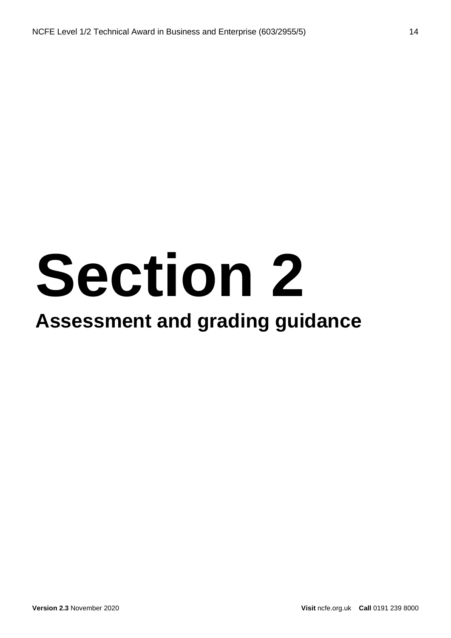# **Section 2**

### **Assessment and grading guidance**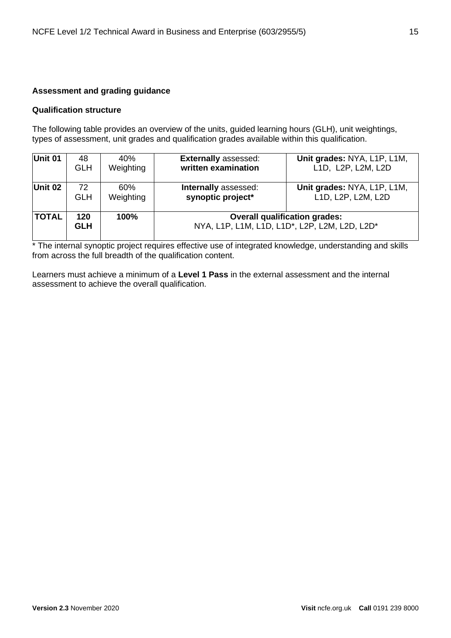#### <span id="page-14-0"></span>**Assessment and grading guidance**

#### <span id="page-14-1"></span>**Qualification structure**

The following table provides an overview of the units, guided learning hours (GLH), unit weightings, types of assessment, unit grades and qualification grades available within this qualification.

| Unit 01      | 48                | 40%       | <b>Externally assessed:</b>                                                           | Unit grades: NYA, L1P, L1M, |
|--------------|-------------------|-----------|---------------------------------------------------------------------------------------|-----------------------------|
|              | <b>GLH</b>        | Weighting | written examination                                                                   | L1D, L2P, L2M, L2D          |
| Unit 02      | 72                | 60%       | Internally assessed:                                                                  | Unit grades: NYA, L1P, L1M, |
|              | <b>GLH</b>        | Weighting | synoptic project*                                                                     | L1D, L2P, L2M, L2D          |
| <b>TOTAL</b> | 120<br><b>GLH</b> | 100%      | <b>Overall qualification grades:</b><br>NYA, L1P, L1M, L1D, L1D*, L2P, L2M, L2D, L2D* |                             |

\* The internal synoptic project requires effective use of integrated knowledge, understanding and skills from across the full breadth of the qualification content.

Learners must achieve a minimum of a **Level 1 Pass** in the external assessment and the internal assessment to achieve the overall qualification.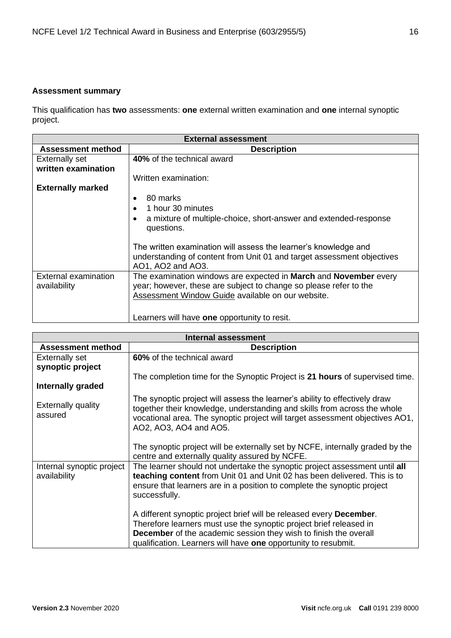#### <span id="page-15-0"></span>**Assessment summary**

This qualification has **two** assessments: **one** external written examination and **one** internal synoptic project.

| <b>External assessment</b>           |                                                                                                                                                                                            |  |  |
|--------------------------------------|--------------------------------------------------------------------------------------------------------------------------------------------------------------------------------------------|--|--|
| <b>Assessment method</b>             | <b>Description</b>                                                                                                                                                                         |  |  |
| <b>Externally set</b>                | 40% of the technical award                                                                                                                                                                 |  |  |
| written examination                  |                                                                                                                                                                                            |  |  |
|                                      | Written examination:                                                                                                                                                                       |  |  |
| <b>Externally marked</b>             |                                                                                                                                                                                            |  |  |
|                                      | 80 marks<br>$\bullet$                                                                                                                                                                      |  |  |
|                                      | 1 hour 30 minutes                                                                                                                                                                          |  |  |
|                                      | a mixture of multiple-choice, short-answer and extended-response<br>questions.                                                                                                             |  |  |
|                                      | The written examination will assess the learner's knowledge and<br>understanding of content from Unit 01 and target assessment objectives<br>AO1, AO2 and AO3.                             |  |  |
| External examination<br>availability | The examination windows are expected in March and November every<br>year; however, these are subject to change so please refer to the<br>Assessment Window Guide available on our website. |  |  |
|                                      | Learners will have one opportunity to resit.                                                                                                                                               |  |  |

<span id="page-15-2"></span><span id="page-15-1"></span>

| <b>Internal assessment</b>                |                                                                                                                                                                                                                                                                                                                                                                                                                                                                                                                                                      |  |  |
|-------------------------------------------|------------------------------------------------------------------------------------------------------------------------------------------------------------------------------------------------------------------------------------------------------------------------------------------------------------------------------------------------------------------------------------------------------------------------------------------------------------------------------------------------------------------------------------------------------|--|--|
| <b>Assessment method</b>                  | <b>Description</b>                                                                                                                                                                                                                                                                                                                                                                                                                                                                                                                                   |  |  |
| <b>Externally set</b>                     | 60% of the technical award                                                                                                                                                                                                                                                                                                                                                                                                                                                                                                                           |  |  |
| synoptic project                          |                                                                                                                                                                                                                                                                                                                                                                                                                                                                                                                                                      |  |  |
|                                           | The completion time for the Synoptic Project is 21 hours of supervised time.                                                                                                                                                                                                                                                                                                                                                                                                                                                                         |  |  |
| <b>Internally graded</b>                  |                                                                                                                                                                                                                                                                                                                                                                                                                                                                                                                                                      |  |  |
| <b>Externally quality</b><br>assured      | The synoptic project will assess the learner's ability to effectively draw<br>together their knowledge, understanding and skills from across the whole<br>vocational area. The synoptic project will target assessment objectives AO1,<br>AO2, AO3, AO4 and AO5.                                                                                                                                                                                                                                                                                     |  |  |
|                                           | The synoptic project will be externally set by NCFE, internally graded by the<br>centre and externally quality assured by NCFE.                                                                                                                                                                                                                                                                                                                                                                                                                      |  |  |
| Internal synoptic project<br>availability | The learner should not undertake the synoptic project assessment until all<br>teaching content from Unit 01 and Unit 02 has been delivered. This is to<br>ensure that learners are in a position to complete the synoptic project<br>successfully.<br>A different synoptic project brief will be released every <b>December</b> .<br>Therefore learners must use the synoptic project brief released in<br><b>December</b> of the academic session they wish to finish the overall<br>qualification. Learners will have one opportunity to resubmit. |  |  |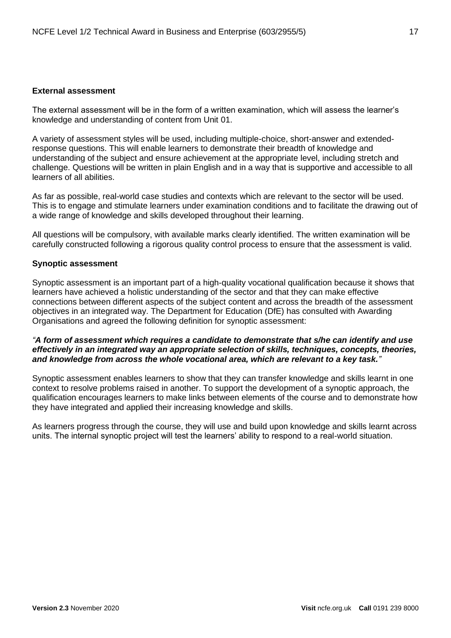#### **External assessment**

The external assessment will be in the form of a written examination, which will assess the learner's knowledge and understanding of content from Unit 01.

A variety of assessment styles will be used, including multiple-choice, short-answer and extendedresponse questions. This will enable learners to demonstrate their breadth of knowledge and understanding of the subject and ensure achievement at the appropriate level, including stretch and challenge. Questions will be written in plain English and in a way that is supportive and accessible to all learners of all abilities.

As far as possible, real-world case studies and contexts which are relevant to the sector will be used. This is to engage and stimulate learners under examination conditions and to facilitate the drawing out of a wide range of knowledge and skills developed throughout their learning.

All questions will be compulsory, with available marks clearly identified. The written examination will be carefully constructed following a rigorous quality control process to ensure that the assessment is valid.

#### <span id="page-16-0"></span>**Synoptic assessment**

Synoptic assessment is an important part of a high-quality vocational qualification because it shows that learners have achieved a holistic understanding of the sector and that they can make effective connections between different aspects of the subject content and across the breadth of the assessment objectives in an integrated way. The Department for Education (DfE) has consulted with Awarding Organisations and agreed the following definition for synoptic assessment:

#### *"A form of assessment which requires a candidate to demonstrate that s/he can identify and use effectively in an integrated way an appropriate selection of skills, techniques, concepts, theories, and knowledge from across the whole vocational area, which are relevant to a key task."*

Synoptic assessment enables learners to show that they can transfer knowledge and skills learnt in one context to resolve problems raised in another. To support the development of a synoptic approach, the qualification encourages learners to make links between elements of the course and to demonstrate how they have integrated and applied their increasing knowledge and skills.

As learners progress through the course, they will use and build upon knowledge and skills learnt across units. The internal synoptic project will test the learners' ability to respond to a real-world situation.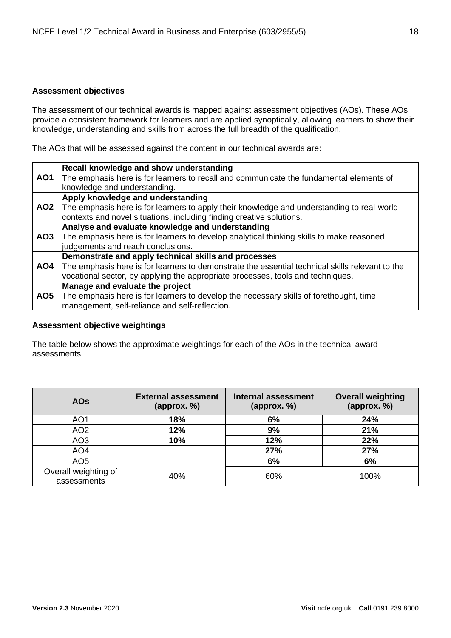#### <span id="page-17-0"></span>**Assessment objectives**

The assessment of our technical awards is mapped against assessment objectives (AOs). These AOs provide a consistent framework for learners and are applied synoptically, allowing learners to show their knowledge, understanding and skills from across the full breadth of the qualification.

The AOs that will be assessed against the content in our technical awards are:

|                 | Recall knowledge and show understanding                                                         |
|-----------------|-------------------------------------------------------------------------------------------------|
| AO <sub>1</sub> | The emphasis here is for learners to recall and communicate the fundamental elements of         |
|                 | knowledge and understanding.                                                                    |
|                 | Apply knowledge and understanding                                                               |
| <b>AO2</b>      | The emphasis here is for learners to apply their knowledge and understanding to real-world      |
|                 | contexts and novel situations, including finding creative solutions.                            |
|                 | Analyse and evaluate knowledge and understanding                                                |
| AO3             | The emphasis here is for learners to develop analytical thinking skills to make reasoned        |
|                 | judgements and reach conclusions.                                                               |
|                 | Demonstrate and apply technical skills and processes                                            |
| AO4             | The emphasis here is for learners to demonstrate the essential technical skills relevant to the |
|                 | vocational sector, by applying the appropriate processes, tools and techniques.                 |
|                 | Manage and evaluate the project                                                                 |
| AO5             | The emphasis here is for learners to develop the necessary skills of forethought, time          |
|                 | management, self-reliance and self-reflection.                                                  |

#### <span id="page-17-1"></span>**Assessment objective weightings**

The table below shows the approximate weightings for each of the AOs in the technical award assessments.

| <b>AOs</b>                          | <b>External assessment</b><br>(approx. %) | <b>Internal assessment</b><br>${\rm (approx. \%)}$ | <b>Overall weighting</b><br>(approx. %) |
|-------------------------------------|-------------------------------------------|----------------------------------------------------|-----------------------------------------|
| AO <sub>1</sub>                     | 18%                                       | 6%                                                 | 24%                                     |
| AO <sub>2</sub>                     | 12%                                       | 9%                                                 | 21%                                     |
| AO <sub>3</sub>                     | 10%                                       | 12%                                                | 22%                                     |
| AO <sub>4</sub>                     |                                           | 27%                                                | 27%                                     |
| AO <sub>5</sub>                     |                                           | 6%                                                 | 6%                                      |
| Overall weighting of<br>assessments | 40%                                       | 60%                                                | 100%                                    |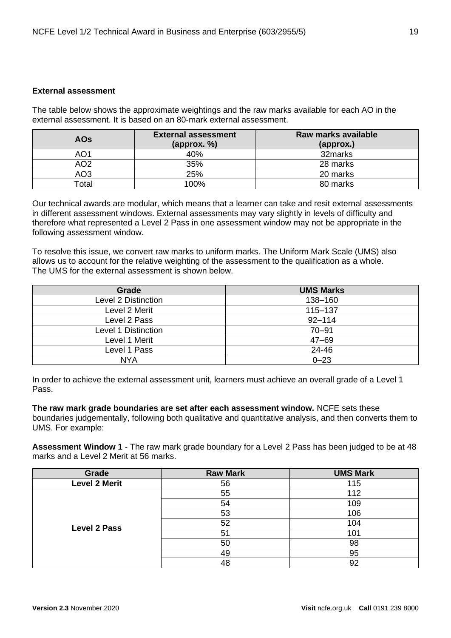#### <span id="page-18-0"></span>**External assessment**

The table below shows the approximate weightings and the raw marks available for each AO in the external assessment. It is based on an 80-mark external assessment.

| <b>AOs</b>        | <b>External assessment</b><br>${\rm (approx. \%)}$ | Raw marks available<br>(approx.) |
|-------------------|----------------------------------------------------|----------------------------------|
| AO1               | 40%                                                | 32marks                          |
| AO2               | 35%                                                | 28 marks                         |
| AO <sub>3</sub>   | 25%                                                | 20 marks                         |
| otal <sup>-</sup> | 100%                                               | 80 marks                         |

Our technical awards are modular, which means that a learner can take and resit external assessments in different assessment windows. External assessments may vary slightly in levels of difficulty and therefore what represented a Level 2 Pass in one assessment window may not be appropriate in the following assessment window.

To resolve this issue, we convert raw marks to uniform marks. The Uniform Mark Scale (UMS) also allows us to account for the relative weighting of the assessment to the qualification as a whole. The UMS for the external assessment is shown below.

| Grade               | <b>UMS Marks</b> |
|---------------------|------------------|
| Level 2 Distinction | 138-160          |
| Level 2 Merit       | 115-137          |
| Level 2 Pass        | $92 - 114$       |
| Level 1 Distinction | $70 - 91$        |
| Level 1 Merit       | $47 - 69$        |
| Level 1 Pass        | 24-46            |
| <b>NYA</b>          | $0 - 23$         |

In order to achieve the external assessment unit, learners must achieve an overall grade of a Level 1 Pass.

**The raw mark grade boundaries are set after each assessment window.** NCFE sets these boundaries judgementally, following both qualitative and quantitative analysis, and then converts them to UMS. For example:

**Assessment Window 1** - The raw mark grade boundary for a Level 2 Pass has been judged to be at 48 marks and a Level 2 Merit at 56 marks.

| Grade                | <b>Raw Mark</b> | <b>UMS Mark</b> |
|----------------------|-----------------|-----------------|
| <b>Level 2 Merit</b> | 56              | 115             |
|                      | 55              | 112             |
|                      | 54              | 109             |
|                      | 53              | 106             |
| <b>Level 2 Pass</b>  | 52              | 104             |
|                      | 51              | 101             |
|                      | 50              | 98              |
|                      | 49              | 95              |
|                      | 48              | 92              |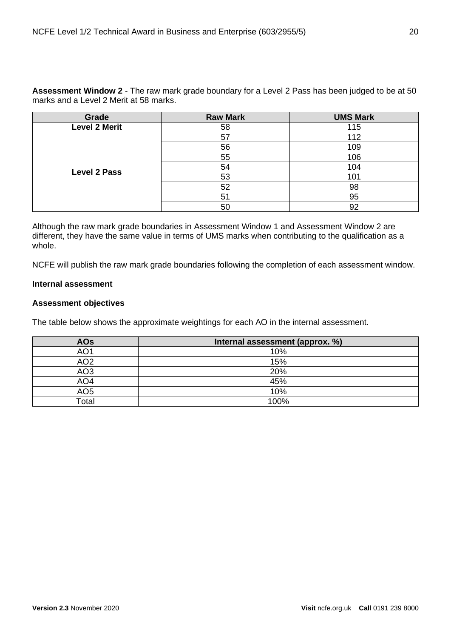**Assessment Window 2** *-* The raw mark grade boundary for a Level 2 Pass has been judged to be at 50 marks and a Level 2 Merit at 58 marks.

| Grade                | <b>Raw Mark</b> | <b>UMS Mark</b> |
|----------------------|-----------------|-----------------|
| <b>Level 2 Merit</b> | 58              | 115             |
|                      | 57              | 112             |
|                      | 56              | 109             |
|                      | 55              | 106             |
| <b>Level 2 Pass</b>  | 54              | 104             |
|                      | 53              | 101             |
|                      | 52              | 98              |
|                      | 51              | 95              |
|                      | 50              | 92              |

Although the raw mark grade boundaries in Assessment Window 1 and Assessment Window 2 are different, they have the same value in terms of UMS marks when contributing to the qualification as a whole.

NCFE will publish the raw mark grade boundaries following the completion of each assessment window.

#### <span id="page-19-0"></span>**Internal assessment**

#### <span id="page-19-1"></span>**Assessment objectives**

The table below shows the approximate weightings for each AO in the internal assessment.

| <b>AOs</b>      | Internal assessment (approx. %) |
|-----------------|---------------------------------|
| AO1             | 10%                             |
| AO <sub>2</sub> | 15%                             |
| AO <sub>3</sub> | 20%                             |
| AO <sub>4</sub> | 45%                             |
| AO <sub>5</sub> | 10%                             |
| Total           | 100%                            |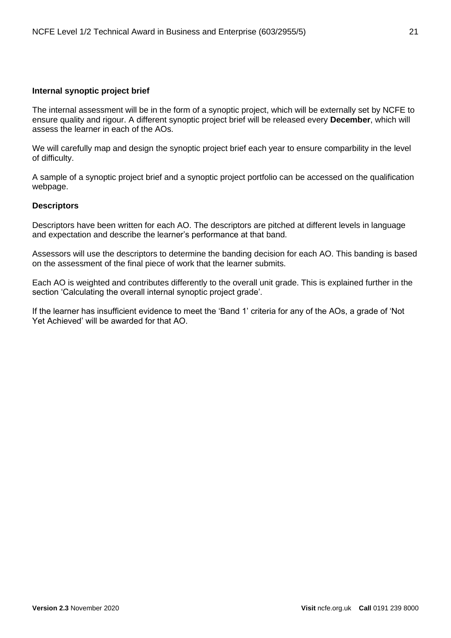#### <span id="page-20-0"></span>**Internal synoptic project brief**

The internal assessment will be in the form of a synoptic project, which will be externally set by NCFE to ensure quality and rigour. A different synoptic project brief will be released every **December**, which will assess the learner in each of the AOs.

We will carefully map and design the synoptic project brief each year to ensure comparbility in the level of difficulty.

A sample of a synoptic project brief and a synoptic project portfolio can be accessed on the qualification webpage.

#### <span id="page-20-1"></span>**Descriptors**

Descriptors have been written for each AO. The descriptors are pitched at different levels in language and expectation and describe the learner's performance at that band.

Assessors will use the descriptors to determine the banding decision for each AO. This banding is based on the assessment of the final piece of work that the learner submits.

Each AO is weighted and contributes differently to the overall unit grade. This is explained further in the section 'Calculating the overall internal synoptic project grade'.

If the learner has insufficient evidence to meet the 'Band 1' criteria for any of the AOs, a grade of 'Not Yet Achieved' will be awarded for that AO.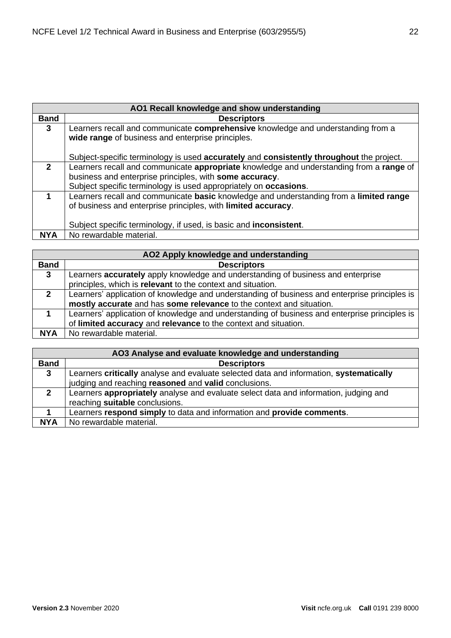| AO1 Recall knowledge and show understanding |                                                                                                                                       |  |
|---------------------------------------------|---------------------------------------------------------------------------------------------------------------------------------------|--|
| <b>Band</b>                                 | <b>Descriptors</b>                                                                                                                    |  |
| 3                                           | Learners recall and communicate comprehensive knowledge and understanding from a<br>wide range of business and enterprise principles. |  |
|                                             | Subject-specific terminology is used accurately and consistently throughout the project.                                              |  |
| $\overline{2}$                              | Learners recall and communicate appropriate knowledge and understanding from a range of                                               |  |
|                                             | business and enterprise principles, with some accuracy.                                                                               |  |
|                                             |                                                                                                                                       |  |
|                                             | Learners recall and communicate basic knowledge and understanding from a limited range                                                |  |
|                                             | of business and enterprise principles, with limited accuracy.                                                                         |  |
|                                             |                                                                                                                                       |  |
|                                             | Subject specific terminology, if used, is basic and <b>inconsistent</b> .                                                             |  |
| <b>NYA</b>                                  | No rewardable material.                                                                                                               |  |
|                                             | Subject specific terminology is used appropriately on occasions.                                                                      |  |

| AO2 Apply knowledge and understanding |                                                                                               |  |
|---------------------------------------|-----------------------------------------------------------------------------------------------|--|
| <b>Band</b>                           | <b>Descriptors</b>                                                                            |  |
| $\mathbf{3}$                          | Learners accurately apply knowledge and understanding of business and enterprise              |  |
|                                       | principles, which is relevant to the context and situation.                                   |  |
| $\mathbf{2}$                          | Learners' application of knowledge and understanding of business and enterprise principles is |  |
|                                       | mostly accurate and has some relevance to the context and situation.                          |  |
|                                       | Learners' application of knowledge and understanding of business and enterprise principles is |  |
|                                       | of limited accuracy and relevance to the context and situation.                               |  |
| <b>NYA</b>                            | No rewardable material.                                                                       |  |

| AO3 Analyse and evaluate knowledge and understanding |                                                                                        |  |
|------------------------------------------------------|----------------------------------------------------------------------------------------|--|
| <b>Band</b>                                          | <b>Descriptors</b>                                                                     |  |
| 3                                                    | Learners critically analyse and evaluate selected data and information, systematically |  |
|                                                      | judging and reaching reasoned and valid conclusions.                                   |  |
| $\mathbf{2}$                                         | Learners appropriately analyse and evaluate select data and information, judging and   |  |
|                                                      | reaching suitable conclusions.                                                         |  |
|                                                      | Learners respond simply to data and information and provide comments.                  |  |
| <b>NYA</b>                                           | No rewardable material.                                                                |  |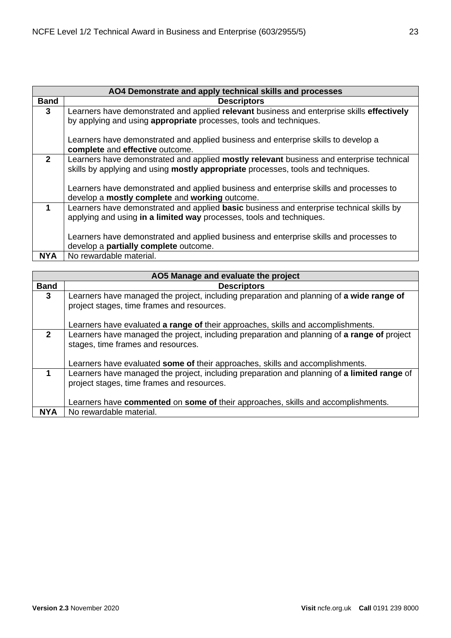|              | AO4 Demonstrate and apply technical skills and processes                                                              |
|--------------|-----------------------------------------------------------------------------------------------------------------------|
| <b>Band</b>  | <b>Descriptors</b>                                                                                                    |
| $\mathbf{3}$ | Learners have demonstrated and applied relevant business and enterprise skills effectively                            |
|              | by applying and using appropriate processes, tools and techniques.                                                    |
|              | Learners have demonstrated and applied business and enterprise skills to develop a<br>complete and effective outcome. |
| $\mathbf{2}$ | Learners have demonstrated and applied mostly relevant business and enterprise technical                              |
|              | skills by applying and using mostly appropriate processes, tools and techniques.                                      |
|              | Learners have demonstrated and applied business and enterprise skills and processes to                                |
|              | develop a mostly complete and working outcome.                                                                        |
| 1            | Learners have demonstrated and applied basic business and enterprise technical skills by                              |
|              | applying and using in a limited way processes, tools and techniques.                                                  |
|              | Learners have demonstrated and applied business and enterprise skills and processes to                                |
|              | develop a partially complete outcome.                                                                                 |
|              |                                                                                                                       |
| <b>NYA</b>   | No rewardable material.                                                                                               |

| AO5 Manage and evaluate the project |                                                                                                                                   |  |
|-------------------------------------|-----------------------------------------------------------------------------------------------------------------------------------|--|
| <b>Band</b>                         | <b>Descriptors</b>                                                                                                                |  |
| $\mathbf{3}$                        | Learners have managed the project, including preparation and planning of a wide range of                                          |  |
|                                     | project stages, time frames and resources.                                                                                        |  |
|                                     | Learners have evaluated a range of their approaches, skills and accomplishments.                                                  |  |
| $\overline{2}$                      | Learners have managed the project, including preparation and planning of a range of project<br>stages, time frames and resources. |  |
|                                     |                                                                                                                                   |  |
|                                     | Learners have evaluated some of their approaches, skills and accomplishments.                                                     |  |
| 1                                   | Learners have managed the project, including preparation and planning of a limited range of                                       |  |
|                                     | project stages, time frames and resources.                                                                                        |  |
|                                     |                                                                                                                                   |  |
|                                     | Learners have commented on some of their approaches, skills and accomplishments.                                                  |  |
| <b>NYA</b>                          | No rewardable material.                                                                                                           |  |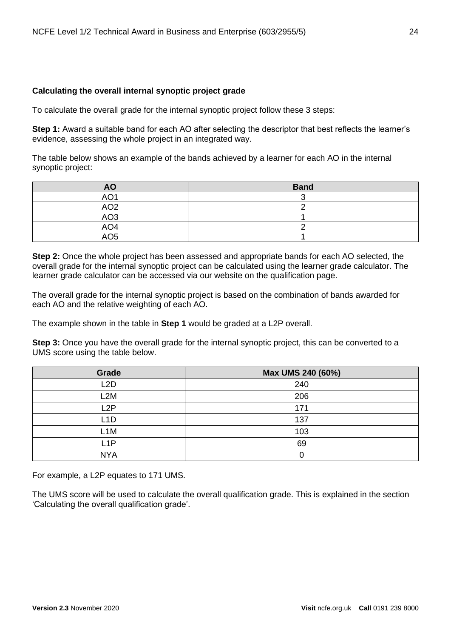#### <span id="page-23-0"></span>**Calculating the overall internal synoptic project grade**

To calculate the overall grade for the internal synoptic project follow these 3 steps:

**Step 1:** Award a suitable band for each AO after selecting the descriptor that best reflects the learner's evidence, assessing the whole project in an integrated way.

The table below shows an example of the bands achieved by a learner for each AO in the internal synoptic project:

| <b>AO</b>       | <b>Band</b> |
|-----------------|-------------|
| AO <sup>-</sup> |             |
| AO2             |             |
| AO3             |             |
| AO <sub>4</sub> |             |
| AO5             |             |

**Step 2:** Once the whole project has been assessed and appropriate bands for each AO selected, the overall grade for the internal synoptic project can be calculated using the learner grade calculator. The learner grade calculator can be accessed via our website on the qualification page.

The overall grade for the internal synoptic project is based on the combination of bands awarded for each AO and the relative weighting of each AO.

The example shown in the table in **Step 1** would be graded at a L2P overall.

**Step 3:** Once you have the overall grade for the internal synoptic project, this can be converted to a UMS score using the table below.

| Grade            | Max UMS 240 (60%) |
|------------------|-------------------|
| L <sub>2</sub> D | 240               |
| L <sub>2</sub> M | 206               |
| L2P              | 171               |
| L1D              | 137               |
| L1M              | 103               |
| L <sub>1</sub> P | 69                |
| <b>NYA</b>       |                   |

For example, a L2P equates to 171 UMS.

The UMS score will be used to calculate the overall qualification grade. This is explained in the section 'Calculating the overall qualification grade'.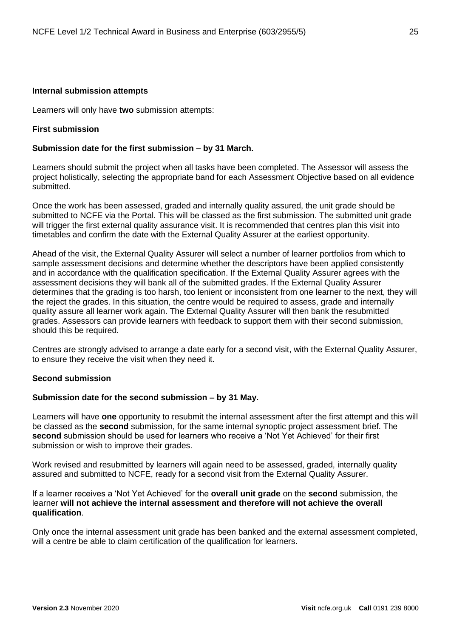#### <span id="page-24-0"></span>**Internal submission attempts**

Learners will only have **two** submission attempts:

#### **First submission**

#### **Submission date for the first submission – by 31 March.**

Learners should submit the project when all tasks have been completed. The Assessor will assess the project holistically, selecting the appropriate band for each Assessment Objective based on all evidence submitted.

Once the work has been assessed, graded and internally quality assured, the unit grade should be submitted to NCFE via the Portal. This will be classed as the first submission. The submitted unit grade will trigger the first external quality assurance visit. It is recommended that centres plan this visit into timetables and confirm the date with the External Quality Assurer at the earliest opportunity.

Ahead of the visit, the External Quality Assurer will select a number of learner portfolios from which to sample assessment decisions and determine whether the descriptors have been applied consistently and in accordance with the qualification specification. If the External Quality Assurer agrees with the assessment decisions they will bank all of the submitted grades. If the External Quality Assurer determines that the grading is too harsh, too lenient or inconsistent from one learner to the next, they will the reject the grades. In this situation, the centre would be required to assess, grade and internally quality assure all learner work again. The External Quality Assurer will then bank the resubmitted grades. Assessors can provide learners with feedback to support them with their second submission, should this be required.

Centres are strongly advised to arrange a date early for a second visit, with the External Quality Assurer, to ensure they receive the visit when they need it.

#### **Second submission**

#### **Submission date for the second submission – by 31 May.**

Learners will have **one** opportunity to resubmit the internal assessment after the first attempt and this will be classed as the **second** submission, for the same internal synoptic project assessment brief. The **second** submission should be used for learners who receive a 'Not Yet Achieved' for their first submission or wish to improve their grades.

Work revised and resubmitted by learners will again need to be assessed, graded, internally quality assured and submitted to NCFE, ready for a second visit from the External Quality Assurer.

If a learner receives a 'Not Yet Achieved' for the **overall unit grade** on the **second** submission, the learner **will not achieve the internal assessment and therefore will not achieve the overall qualification**.

Only once the internal assessment unit grade has been banked and the external assessment completed, will a centre be able to claim certification of the qualification for learners.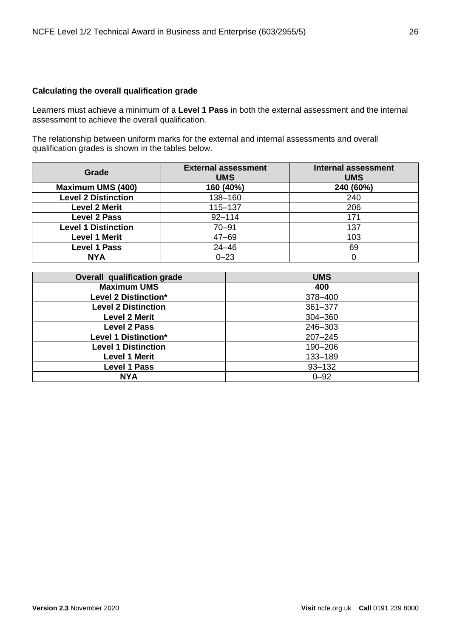#### <span id="page-25-0"></span>**Calculating the overall qualification grade**

Learners must achieve a minimum of a **Level 1 Pass** in both the external assessment and the internal assessment to achieve the overall qualification.

The relationship between uniform marks for the external and internal assessments and overall qualification grades is shown in the tables below.

| Grade                      | <b>External assessment</b><br><b>UMS</b> | <b>Internal assessment</b><br><b>UMS</b> |
|----------------------------|------------------------------------------|------------------------------------------|
| <b>Maximum UMS (400)</b>   | 160 (40%)                                | 240 (60%)                                |
| <b>Level 2 Distinction</b> | 138-160                                  | 240                                      |
| <b>Level 2 Merit</b>       | 115-137                                  | 206                                      |
| <b>Level 2 Pass</b>        | $92 - 114$                               | 171                                      |
| <b>Level 1 Distinction</b> | $70 - 91$                                | 137                                      |
| <b>Level 1 Merit</b>       | $47 - 69$                                | 103                                      |
| <b>Level 1 Pass</b>        | $24 - 46$                                | 69                                       |
| <b>NYA</b>                 | $0 - 23$                                 |                                          |

| <b>Overall qualification grade</b> | <b>UMS</b>  |  |
|------------------------------------|-------------|--|
| <b>Maximum UMS</b>                 | 400         |  |
| Level 2 Distinction*               | 378-400     |  |
| <b>Level 2 Distinction</b>         | 361-377     |  |
| <b>Level 2 Merit</b>               | 304-360     |  |
| <b>Level 2 Pass</b>                | 246-303     |  |
| Level 1 Distinction*               | $207 - 245$ |  |
| <b>Level 1 Distinction</b>         | 190-206     |  |
| <b>Level 1 Merit</b>               | 133-189     |  |
| <b>Level 1 Pass</b>                | $93 - 132$  |  |
| <b>NYA</b>                         | $0 - 92$    |  |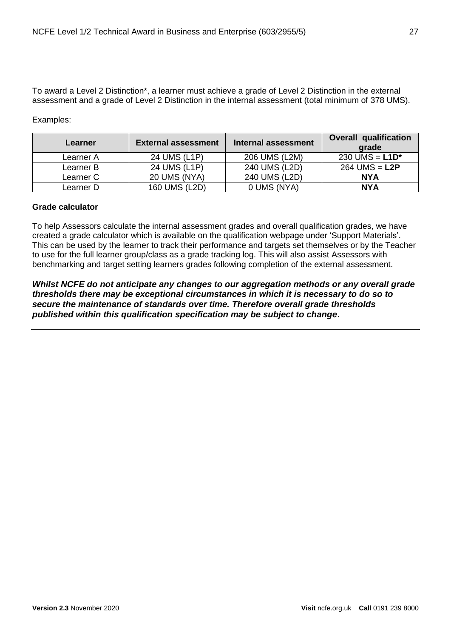To award a Level 2 Distinction\*, a learner must achieve a grade of Level 2 Distinction in the external assessment and a grade of Level 2 Distinction in the internal assessment (total minimum of 378 UMS).

Examples:

| Learner   | <b>External assessment</b> | Internal assessment | <b>Overall qualification</b><br>grade |
|-----------|----------------------------|---------------------|---------------------------------------|
| Learner A | 24 UMS (L1P)               | 206 UMS (L2M)       | 230 UMS = $L1D^*$                     |
| Learner B | 24 UMS (L1P)               | 240 UMS (L2D)       | $264$ UMS = L2P                       |
| Learner C | 20 UMS (NYA)               | 240 UMS (L2D)       | <b>NYA</b>                            |
| Learner D | 160 UMS (L2D)              | 0 UMS (NYA)         | <b>NYA</b>                            |

#### <span id="page-26-0"></span>**Grade calculator**

To help Assessors calculate the internal assessment grades and overall qualification grades, we have created a grade calculator which is available on the qualification webpage under 'Support Materials'. This can be used by the learner to track their performance and targets set themselves or by the Teacher to use for the full learner group/class as a grade tracking log. This will also assist Assessors with benchmarking and target setting learners grades following completion of the external assessment.

*Whilst NCFE do not anticipate any changes to our aggregation methods or any overall grade thresholds there may be exceptional circumstances in which it is necessary to do so to secure the maintenance of standards over time. Therefore overall grade thresholds published within this qualification specification may be subject to change***.**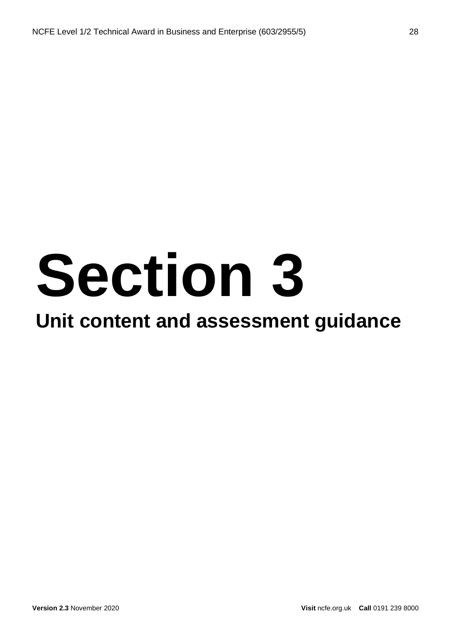# **Section 3**

### **Unit content and assessment guidance**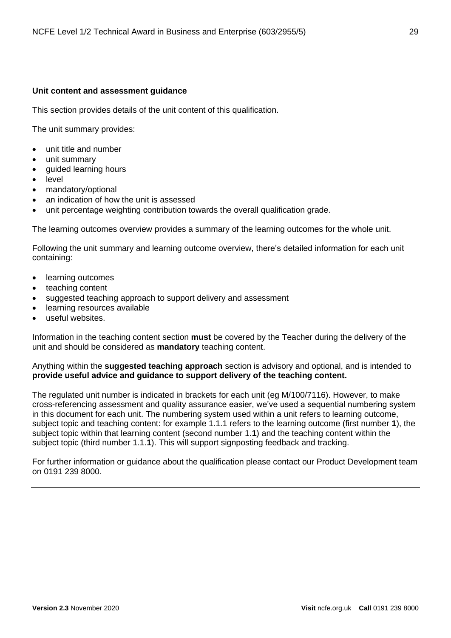#### <span id="page-28-0"></span>**Unit content and assessment guidance**

This section provides details of the unit content of this qualification.

The unit summary provides:

- unit title and number
- unit summary
- guided learning hours
- level
- mandatory/optional
- an indication of how the unit is assessed
- unit percentage weighting contribution towards the overall qualification grade.

The learning outcomes overview provides a summary of the learning outcomes for the whole unit.

Following the unit summary and learning outcome overview, there's detailed information for each unit containing:

- learning outcomes
- teaching content
- suggested teaching approach to support delivery and assessment
- learning resources available
- useful websites.

Information in the teaching content section **must** be covered by the Teacher during the delivery of the unit and should be considered as **mandatory** teaching content.

Anything within the **suggested teaching approach** section is advisory and optional, and is intended to **provide useful advice and guidance to support delivery of the teaching content.**

The regulated unit number is indicated in brackets for each unit (eg M/100/7116). However, to make cross-referencing assessment and quality assurance easier, we've used a sequential numbering system in this document for each unit. The numbering system used within a unit refers to learning outcome, subject topic and teaching content: for example 1.1.1 refers to the learning outcome (first number **1**), the subject topic within that learning content (second number 1.**1**) and the teaching content within the subject topic (third number 1.1.**1**). This will support signposting feedback and tracking.

For further information or guidance about the qualification please contact our Product Development team on 0191 239 8000.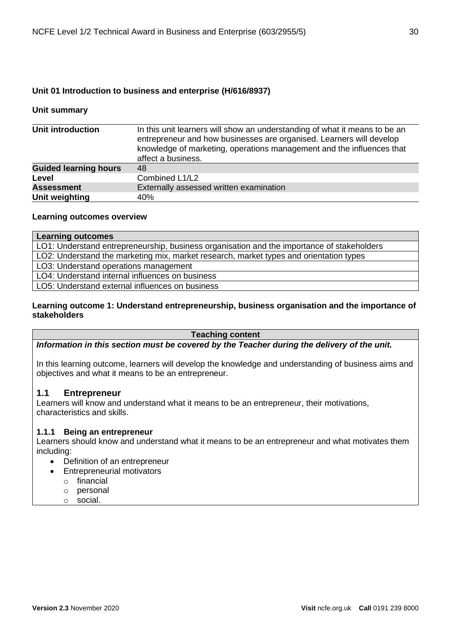#### <span id="page-29-0"></span>**Unit 01 Introduction to business and enterprise (H/616/8937)**

#### **Unit summary**

| <b>Unit introduction</b>     | In this unit learners will show an understanding of what it means to be an<br>entrepreneur and how businesses are organised. Learners will develop<br>knowledge of marketing, operations management and the influences that<br>affect a business. |
|------------------------------|---------------------------------------------------------------------------------------------------------------------------------------------------------------------------------------------------------------------------------------------------|
| <b>Guided learning hours</b> | 48                                                                                                                                                                                                                                                |
| Level                        | Combined L1/L2                                                                                                                                                                                                                                    |
| <b>Assessment</b>            | Externally assessed written examination                                                                                                                                                                                                           |
| Unit weighting               | 40%                                                                                                                                                                                                                                               |

#### **Learning outcomes overview**

#### **Learning outcomes**

LO1: Understand entrepreneurship, business organisation and the importance of stakeholders LO2: Understand the marketing mix, market research, market types and orientation types LO3: Understand operations management LO4: Understand internal influences on business LO5: Understand external influences on business

#### **Learning outcome 1: Understand entrepreneurship, business organisation and the importance of stakeholders**

#### **Teaching content**

*Information in this section must be covered by the Teacher during the delivery of the unit.*

In this learning outcome, learners will develop the knowledge and understanding of business aims and objectives and what it means to be an entrepreneur.

#### **1.1 Entrepreneur**

Learners will know and understand what it means to be an entrepreneur, their motivations, characteristics and skills.

#### **1.1.1 Being an entrepreneur**

Learners should know and understand what it means to be an entrepreneur and what motivates them including:

- Definition of an entrepreneur
- Entrepreneurial motivators
	- o financial
	- o personal
	- o social.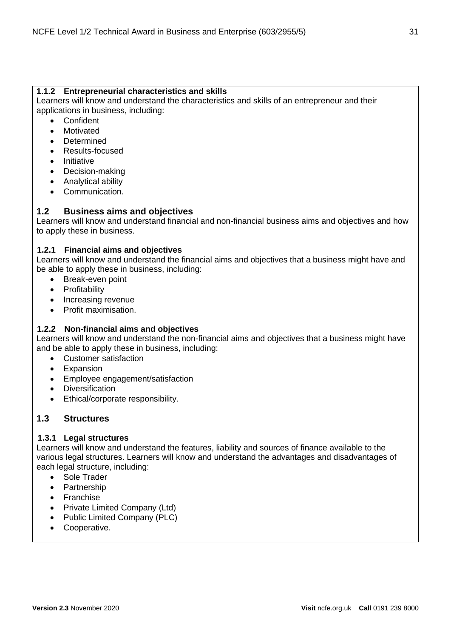#### **1.1.2 Entrepreneurial characteristics and skills**

Learners will know and understand the characteristics and skills of an entrepreneur and their applications in business, including:

- **Confident**
- Motivated
- **Determined**
- Results-focused
- Initiative
- Decision-making
- Analytical ability
- Communication.

#### **1.2 Business aims and objectives**

Learners will know and understand financial and non-financial business aims and objectives and how to apply these in business.

#### **1.2.1 Financial aims and objectives**

Learners will know and understand the financial aims and objectives that a business might have and be able to apply these in business, including:

- Break-even point
- Profitability
- Increasing revenue
- Profit maximisation.

#### **1.2.2 Non-financial aims and objectives**

Learners will know and understand the non-financial aims and objectives that a business might have and be able to apply these in business, including:

- Customer satisfaction
- Expansion
- Employee engagement/satisfaction
- Diversification
- Ethical/corporate responsibility.

#### **1.3 Structures**

#### **1.3.1 Legal structures**

Learners will know and understand the features, liability and sources of finance available to the various legal structures. Learners will know and understand the advantages and disadvantages of each legal structure, including:

- Sole Trader
- Partnership
- Franchise
- Private Limited Company (Ltd)
- Public Limited Company (PLC)
- Cooperative.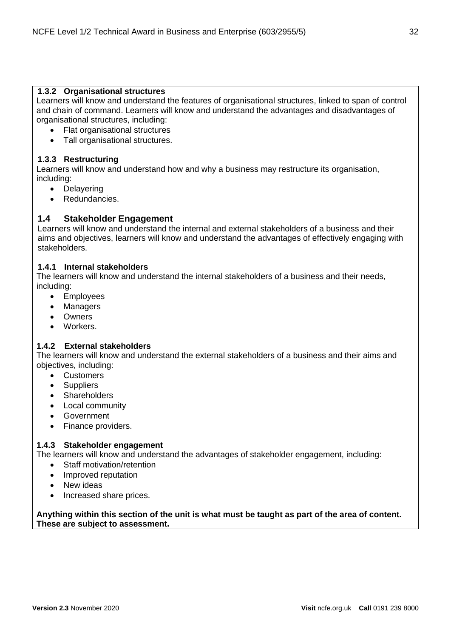#### **1.3.2 Organisational structures**

Learners will know and understand the features of organisational structures, linked to span of control and chain of command. Learners will know and understand the advantages and disadvantages of organisational structures, including:

- Flat organisational structures
- Tall organisational structures.

#### **1.3.3 Restructuring**

Learners will know and understand how and why a business may restructure its organisation, including:

- Delayering
- Redundancies.

#### **1.4 Stakeholder Engagement**

Learners will know and understand the internal and external stakeholders of a business and their aims and objectives, learners will know and understand the advantages of effectively engaging with stakeholders.

#### **1.4.1 Internal stakeholders**

The learners will know and understand the internal stakeholders of a business and their needs, including:

- Employees
- Managers
- Owners
- Workers.

#### **1.4.2 External stakeholders**

The learners will know and understand the external stakeholders of a business and their aims and objectives, including:

- Customers
- Suppliers
- Shareholders
- Local community
- Government
- Finance providers.

#### **1.4.3 Stakeholder engagement**

The learners will know and understand the advantages of stakeholder engagement, including:

- Staff motivation/retention
- Improved reputation
- New ideas
- Increased share prices.

**Anything within this section of the unit is what must be taught as part of the area of content. These are subject to assessment.**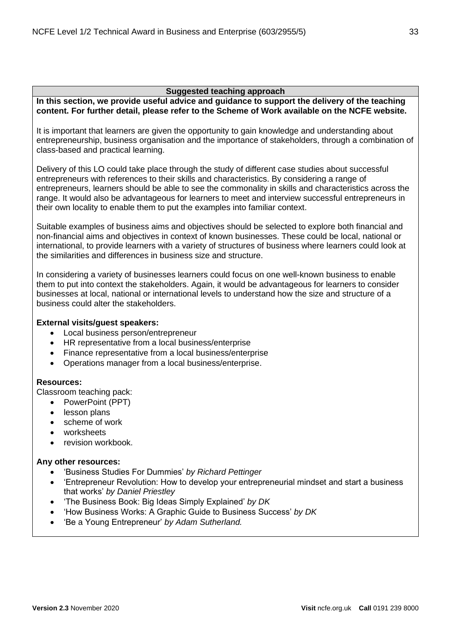#### **Suggested teaching approach**

**In this section, we provide useful advice and guidance to support the delivery of the teaching content. For further detail, please refer to the Scheme of Work available on the NCFE website.**

It is important that learners are given the opportunity to gain knowledge and understanding about entrepreneurship, business organisation and the importance of stakeholders, through a combination of class-based and practical learning.

Delivery of this LO could take place through the study of different case studies about successful entrepreneurs with references to their skills and characteristics. By considering a range of entrepreneurs, learners should be able to see the commonality in skills and characteristics across the range. It would also be advantageous for learners to meet and interview successful entrepreneurs in their own locality to enable them to put the examples into familiar context.

Suitable examples of business aims and objectives should be selected to explore both financial and non-financial aims and objectives in context of known businesses. These could be local, national or international, to provide learners with a variety of structures of business where learners could look at the similarities and differences in business size and structure.

In considering a variety of businesses learners could focus on one well-known business to enable them to put into context the stakeholders. Again, it would be advantageous for learners to consider businesses at local, national or international levels to understand how the size and structure of a business could alter the stakeholders.

#### **External visits/guest speakers:**

- Local business person/entrepreneur
- HR representative from a local business/enterprise
- Finance representative from a local business/enterprise
- Operations manager from a local business/enterprise.

#### **Resources:**

Classroom teaching pack:

- PowerPoint (PPT)
- lesson plans
- scheme of work
- worksheets
- revision workbook.

#### **Any other resources:**

- 'Business Studies For Dummies' *by Richard Pettinger*
- 'Entrepreneur Revolution: How to develop your entrepreneurial mindset and start a business that works' *by Daniel Priestley*
- 'The Business Book: Big Ideas Simply Explained' *by DK*
- 'How Business Works: A Graphic Guide to Business Success' *by DK*
- 'Be a Young Entrepreneur' *by Adam Sutherland.*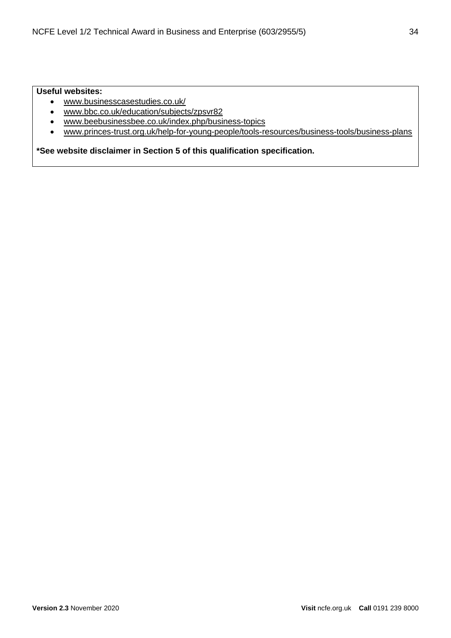#### **Useful websites:**

- [www.businesscasestudies.co.uk/](http://businesscasestudies.co.uk/)
- [www.bbc.co.uk/education/subjects/zpsvr82](https://www.bbc.co.uk/education/subjects/zpsvr82)
- [www.beebusinessbee.co.uk/index.php/business-topics](http://www.beebusinessbee.co.uk/index.php/business-topics)
- [www.princes-trust.org.uk/help-for-young-people/tools-resources/business-tools/business-plans](https://www.princes-trust.org.uk/help-for-young-people/tools-resources/business-tools/business-plans)

**\*See website disclaimer in Section 5 of this qualification specification.**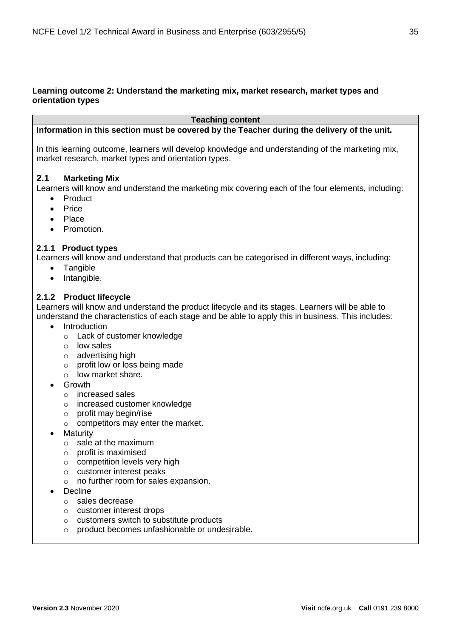#### **Learning outcome 2: Understand the marketing mix, market research, market types and orientation types**

**Teaching content**

#### **Information in this section must be covered by the Teacher during the delivery of the unit.**

In this learning outcome, learners will develop knowledge and understanding of the marketing mix, market research, market types and orientation types.

#### **2.1 Marketing Mix**

Learners will know and understand the marketing mix covering each of the four elements, including:

- **Product**
- Price
- Place
- Promotion.

#### **2.1.1 Product types**

Learners will know and understand that products can be categorised in different ways, including:

- Tangible
- Intangible.

#### **2.1.2 Product lifecycle**

Learners will know and understand the product lifecycle and its stages. Learners will be able to understand the characteristics of each stage and be able to apply this in business. This includes:

- Introduction
	- o Lack of customer knowledge
	- o low sales
	- o advertising high
	- o profit low or loss being made
	- o low market share.
- Growth
	- o increased sales
	- o increased customer knowledge
	- o profit may begin/rise
	- o competitors may enter the market.
- Maturity
	- o sale at the maximum
	- o profit is maximised
	- o competition levels very high
	- o customer interest peaks
	- o no further room for sales expansion.
- **Decline** 
	- o sales decrease
	- o customer interest drops
	- o customers switch to substitute products
	- o product becomes unfashionable or undesirable.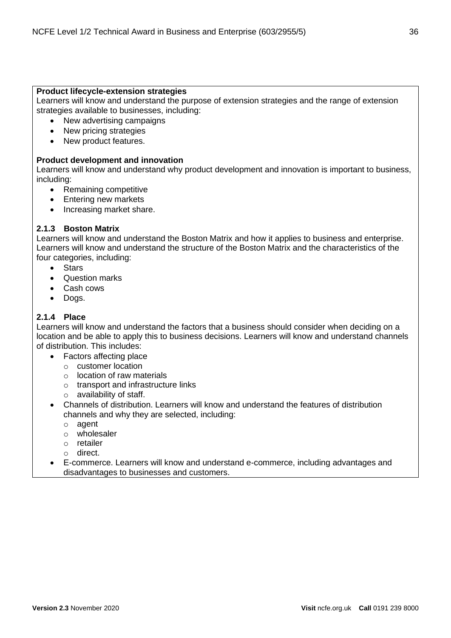#### **Product lifecycle-extension strategies**

Learners will know and understand the purpose of extension strategies and the range of extension strategies available to businesses, including:

- New advertising campaigns
- New pricing strategies
- New product features.

#### **Product development and innovation**

Learners will know and understand why product development and innovation is important to business, including:

- Remaining competitive
- Entering new markets
- Increasing market share.

#### **2.1.3 Boston Matrix**

Learners will know and understand the Boston Matrix and how it applies to business and enterprise. Learners will know and understand the structure of the Boston Matrix and the characteristics of the four categories, including:

- Stars
- Question marks
- Cash cows
- Dogs.

#### **2.1.4 Place**

Learners will know and understand the factors that a business should consider when deciding on a location and be able to apply this to business decisions. Learners will know and understand channels of distribution. This includes:

- Factors affecting place
	- o customer location
	- o location of raw materials
	- o transport and infrastructure links
	- o availability of staff.
- Channels of distribution. Learners will know and understand the features of distribution channels and why they are selected, including:
	- o agent
	- o wholesaler
	- o retailer
	- o direct.
- E-commerce. Learners will know and understand e-commerce, including advantages and disadvantages to businesses and customers.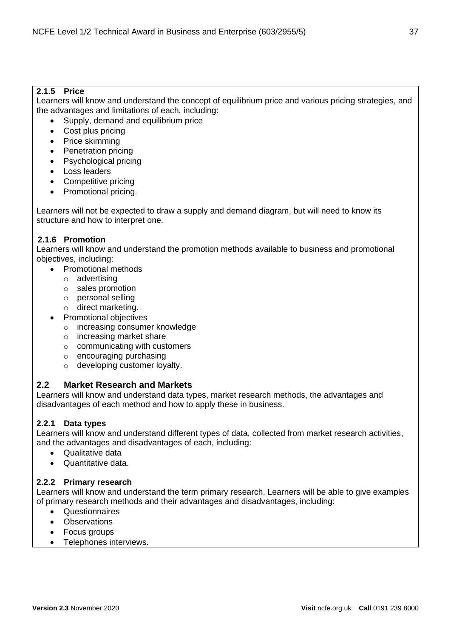# **2.1.5 Price**

Learners will know and understand the concept of equilibrium price and various pricing strategies, and the advantages and limitations of each, including:

- Supply, demand and equilibrium price
- Cost plus pricing
- Price skimming
- Penetration pricing
- Psychological pricing
- Loss leaders
- Competitive pricing
- Promotional pricing.

Learners will not be expected to draw a supply and demand diagram, but will need to know its structure and how to interpret one.

# **2.1.6 Promotion**

Learners will know and understand the promotion methods available to business and promotional objectives, including:

- Promotional methods
	- o advertising
	- o sales promotion
	- o personal selling
	- o direct marketing.
- Promotional objectives
	- o increasing consumer knowledge
	- o increasing market share
	- $\circ$  communicating with customers
	- o encouraging purchasing
	- o developing customer loyalty.

# **2.2 Market Research and Markets**

Learners will know and understand data types, market research methods, the advantages and disadvantages of each method and how to apply these in business.

# **2.2.1 Data types**

Learners will know and understand different types of data, collected from market research activities, and the advantages and disadvantages of each, including:

- Qualitative data
- Quantitative data.

# **2.2.2 Primary research**

Learners will know and understand the term primary research. Learners will be able to give examples of primary research methods and their advantages and disadvantages, including:

- Questionnaires
- Observations
- Focus groups
- Telephones interviews.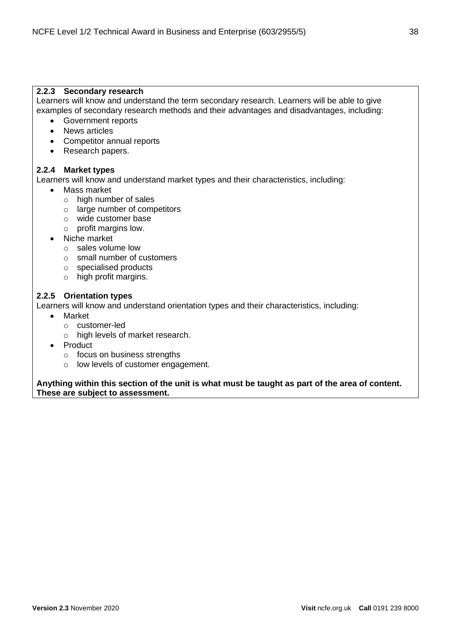# **2.2.3 Secondary research**

Learners will know and understand the term secondary research. Learners will be able to give examples of secondary research methods and their advantages and disadvantages, including:

- Government reports
- News articles
- Competitor annual reports
- Research papers.

# **2.2.4 Market types**

Learners will know and understand market types and their characteristics, including:

- Mass market
	- o high number of sales
	- o large number of competitors
	- o wide customer base
	- o profit margins low.
- Niche market
	- o sales volume low
	- o small number of customers
	- o specialised products
	- o high profit margins.

# **2.2.5 Orientation types**

Learners will know and understand orientation types and their characteristics, including:

- Market
	- o customer-led
	- o high levels of market research.
- Product
	- o focus on business strengths
	- o low levels of customer engagement.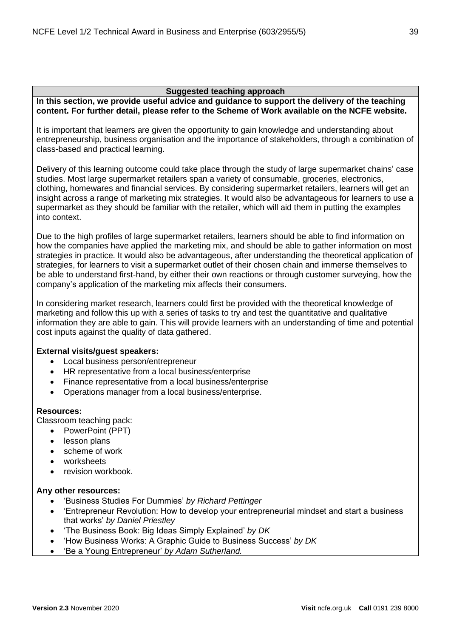**In this section, we provide useful advice and guidance to support the delivery of the teaching content. For further detail, please refer to the Scheme of Work available on the NCFE website.**

It is important that learners are given the opportunity to gain knowledge and understanding about entrepreneurship, business organisation and the importance of stakeholders, through a combination of class-based and practical learning.

Delivery of this learning outcome could take place through the study of large supermarket chains' case studies. Most large supermarket retailers span a variety of consumable, groceries, electronics, clothing, homewares and financial services. By considering supermarket retailers, learners will get an insight across a range of marketing mix strategies. It would also be advantageous for learners to use a supermarket as they should be familiar with the retailer, which will aid them in putting the examples into context.

Due to the high profiles of large supermarket retailers, learners should be able to find information on how the companies have applied the marketing mix, and should be able to gather information on most strategies in practice. It would also be advantageous, after understanding the theoretical application of strategies, for learners to visit a supermarket outlet of their chosen chain and immerse themselves to be able to understand first-hand, by either their own reactions or through customer surveying, how the company's application of the marketing mix affects their consumers.

In considering market research, learners could first be provided with the theoretical knowledge of marketing and follow this up with a series of tasks to try and test the quantitative and qualitative information they are able to gain. This will provide learners with an understanding of time and potential cost inputs against the quality of data gathered.

# **External visits/guest speakers:**

- Local business person/entrepreneur
- HR representative from a local business/enterprise
- Finance representative from a local business/enterprise
- Operations manager from a local business/enterprise.

# **Resources:**

Classroom teaching pack:

- PowerPoint (PPT)
- lesson plans
- scheme of work
- worksheets
- revision workbook.

# **Any other resources:**

- 'Business Studies For Dummies' *by Richard Pettinger*
- 'Entrepreneur Revolution: How to develop your entrepreneurial mindset and start a business that works' *by Daniel Priestley*
- 'The Business Book: Big Ideas Simply Explained' *by DK*
- 'How Business Works: A Graphic Guide to Business Success' *by DK*
- 'Be a Young Entrepreneur' *by Adam Sutherland.*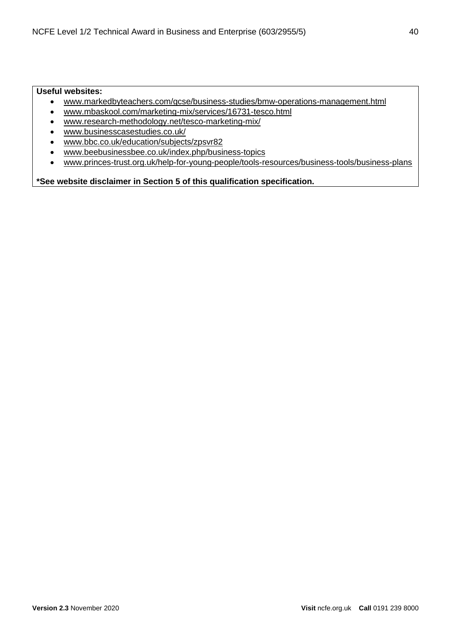# **Useful websites:**

- [www.markedbyteachers.com/gcse/business-studies/bmw-operations-management.html](http://www.markedbyteachers.com/gcse/business-studies/bmw-operations-management.html)
- [www.mbaskool.com/marketing-mix/services/16731-tesco.html](https://www.mbaskool.com/marketing-mix/services/16731-tesco.html)
- [www.research-methodology.net/tesco-marketing-mix/](https://research-methodology.net/tesco-marketing-mix/)
- [www.businesscasestudies.co.uk/](http://businesscasestudies.co.uk/)
- [www.bbc.co.uk/education/subjects/zpsvr82](https://www.bbc.co.uk/education/subjects/zpsvr82)
- [www.beebusinessbee.co.uk/index.php/business-topics](http://www.beebusinessbee.co.uk/index.php/business-topics)
- [www.princes-trust.org.uk/help-for-young-people/tools-resources/business-tools/business-plans](https://www.princes-trust.org.uk/help-for-young-people/tools-resources/business-tools/business-plans)

**\*See website disclaimer in Section 5 of this qualification specification.**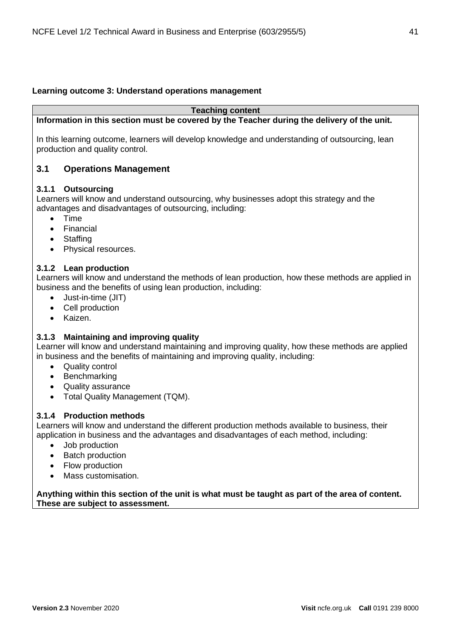# **Learning outcome 3: Understand operations management**

#### **Teaching content**

**Information in this section must be covered by the Teacher during the delivery of the unit.**

In this learning outcome, learners will develop knowledge and understanding of outsourcing, lean production and quality control.

# **3.1 Operations Management**

# **3.1.1 Outsourcing**

Learners will know and understand outsourcing, why businesses adopt this strategy and the advantages and disadvantages of outsourcing, including:

- Time
- Financial
- Staffing
- Physical resources.

# **3.1.2 Lean production**

Learners will know and understand the methods of lean production, how these methods are applied in business and the benefits of using lean production, including:

- Just-in-time (JIT)
- Cell production
- Kaizen.

# **3.1.3 Maintaining and improving quality**

Learner will know and understand maintaining and improving quality, how these methods are applied in business and the benefits of maintaining and improving quality, including:

- Quality control
- Benchmarking
- Quality assurance
- Total Quality Management (TQM).

# **3.1.4 Production methods**

Learners will know and understand the different production methods available to business, their application in business and the advantages and disadvantages of each method, including:

- Job production
- Batch production
- Flow production
- Mass customisation.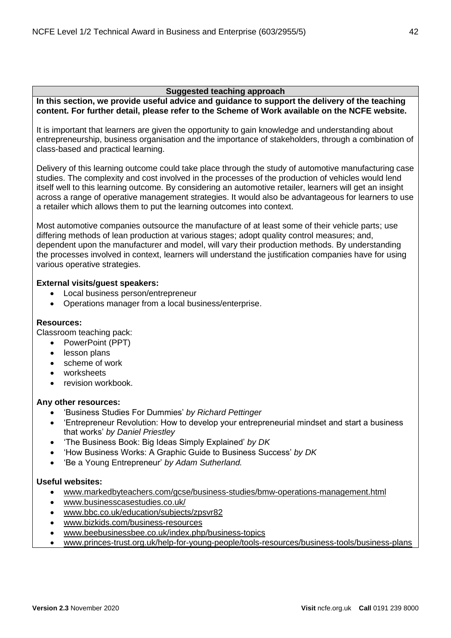**In this section, we provide useful advice and guidance to support the delivery of the teaching content. For further detail, please refer to the Scheme of Work available on the NCFE website.**

It is important that learners are given the opportunity to gain knowledge and understanding about entrepreneurship, business organisation and the importance of stakeholders, through a combination of class-based and practical learning.

Delivery of this learning outcome could take place through the study of automotive manufacturing case studies. The complexity and cost involved in the processes of the production of vehicles would lend itself well to this learning outcome. By considering an automotive retailer, learners will get an insight across a range of operative management strategies. It would also be advantageous for learners to use a retailer which allows them to put the learning outcomes into context.

Most automotive companies outsource the manufacture of at least some of their vehicle parts; use differing methods of lean production at various stages; adopt quality control measures; and, dependent upon the manufacturer and model, will vary their production methods. By understanding the processes involved in context, learners will understand the justification companies have for using various operative strategies.

# **External visits/guest speakers:**

- Local business person/entrepreneur
- Operations manager from a local business/enterprise.

# **Resources:**

Classroom teaching pack:

- PowerPoint (PPT)
- lesson plans
- scheme of work
- worksheets
- revision workbook.

# **Any other resources:**

- 'Business Studies For Dummies' *by Richard Pettinger*
- 'Entrepreneur Revolution: How to develop your entrepreneurial mindset and start a business that works' *by Daniel Priestley*
- 'The Business Book: Big Ideas Simply Explained' *by DK*
- 'How Business Works: A Graphic Guide to Business Success' *by DK*
- 'Be a Young Entrepreneur' *by Adam Sutherland.*

# **Useful websites:**

- [www.markedbyteachers.com/gcse/business-studies/bmw-operations-management.html](http://www.markedbyteachers.com/gcse/business-studies/bmw-operations-management.html)
- [www.businesscasestudies.co.uk/](http://businesscasestudies.co.uk/)
- [www.bbc.co.uk/education/subjects/zpsvr82](https://www.bbc.co.uk/education/subjects/zpsvr82)
- [www.bizkids.com/business-resources](http://bizkids.com/business-resources)
- [www.beebusinessbee.co.uk/index.php/business-topics](http://www.beebusinessbee.co.uk/index.php/business-topics)
- [www.princes-trust.org.uk/help-for-young-people/tools-resources/business-tools/business-plans](https://www.princes-trust.org.uk/help-for-young-people/tools-resources/business-tools/business-plans)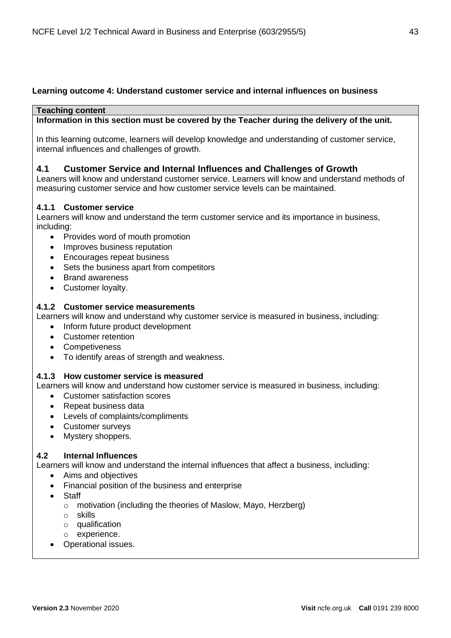# **Learning outcome 4: Understand customer service and internal influences on business**

# **Teaching content**

**Information in this section must be covered by the Teacher during the delivery of the unit.**

In this learning outcome, learners will develop knowledge and understanding of customer service, internal influences and challenges of growth.

# **4.1 Customer Service and Internal Influences and Challenges of Growth**

Leaners will know and understand customer service. Learners will know and understand methods of measuring customer service and how customer service levels can be maintained.

# **4.1.1 Customer service**

Learners will know and understand the term customer service and its importance in business, including:

- Provides word of mouth promotion
- Improves business reputation
- Encourages repeat business
- Sets the business apart from competitors
- Brand awareness
- Customer loyalty.

# **4.1.2 Customer service measurements**

Learners will know and understand why customer service is measured in business, including:

- Inform future product development
- Customer retention
- Competiveness
- To identify areas of strength and weakness.

# **4.1.3 How customer service is measured**

Learners will know and understand how customer service is measured in business, including:

- Customer satisfaction scores
- Repeat business data
- Levels of complaints/compliments
- Customer surveys
- Mystery shoppers.

# **4.2 Internal Influences**

Learners will know and understand the internal influences that affect a business, including:

- Aims and objectives
- Financial position of the business and enterprise
- Staff
	- o motivation (including the theories of Maslow, Mayo, Herzberg)
	- o skills
	- o qualification
	- o experience.
- Operational issues.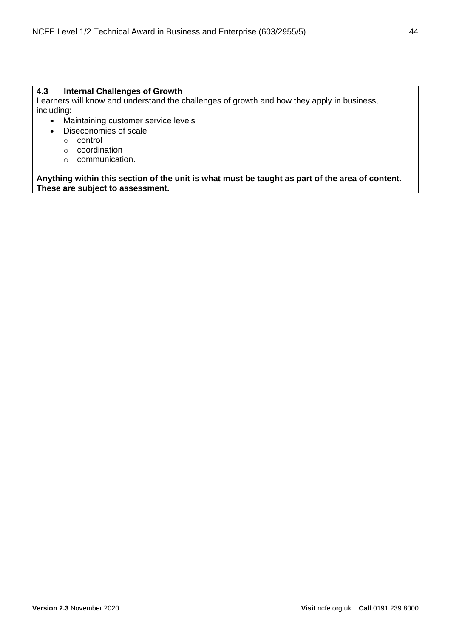# **4.3 Internal Challenges of Growth**

Learners will know and understand the challenges of growth and how they apply in business, including:

- Maintaining customer service levels
- Diseconomies of scale
	- o control
	- o coordination
	- o communication.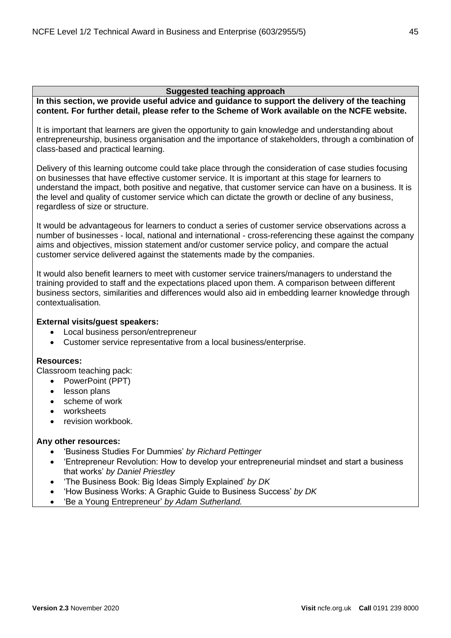**In this section, we provide useful advice and guidance to support the delivery of the teaching content. For further detail, please refer to the Scheme of Work available on the NCFE website.**

It is important that learners are given the opportunity to gain knowledge and understanding about entrepreneurship, business organisation and the importance of stakeholders, through a combination of class-based and practical learning.

Delivery of this learning outcome could take place through the consideration of case studies focusing on businesses that have effective customer service. It is important at this stage for learners to understand the impact, both positive and negative, that customer service can have on a business. It is the level and quality of customer service which can dictate the growth or decline of any business, regardless of size or structure.

It would be advantageous for learners to conduct a series of customer service observations across a number of businesses - local, national and international - cross-referencing these against the company aims and objectives, mission statement and/or customer service policy, and compare the actual customer service delivered against the statements made by the companies.

It would also benefit learners to meet with customer service trainers/managers to understand the training provided to staff and the expectations placed upon them. A comparison between different business sectors, similarities and differences would also aid in embedding learner knowledge through contextualisation.

# **External visits/guest speakers:**

- Local business person/entrepreneur
- Customer service representative from a local business/enterprise.

# **Resources:**

Classroom teaching pack:

- PowerPoint (PPT)
- lesson plans
- scheme of work
- worksheets
- revision workbook.

# **Any other resources:**

- 'Business Studies For Dummies' *by Richard Pettinger*
- 'Entrepreneur Revolution: How to develop your entrepreneurial mindset and start a business that works' *by Daniel Priestley*
- 'The Business Book: Big Ideas Simply Explained' *by DK*
- 'How Business Works: A Graphic Guide to Business Success' *by DK*
- 'Be a Young Entrepreneur' *by Adam Sutherland.*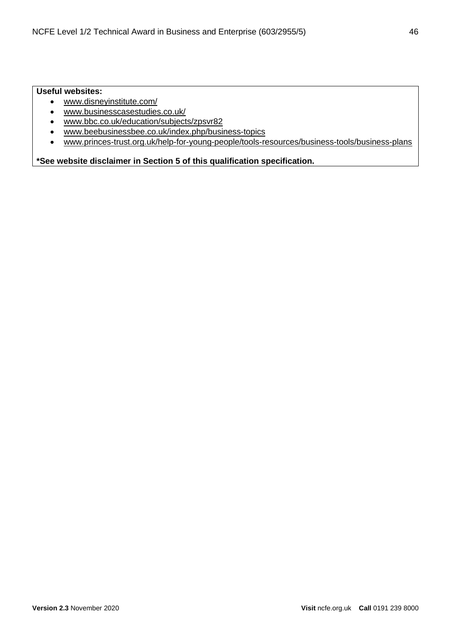# **Useful websites:**

- [www.disneyinstitute.com/](https://disneyinstitute.com/)
- [www.businesscasestudies.co.uk/](http://businesscasestudies.co.uk/)
- [www.bbc.co.uk/education/subjects/zpsvr82](https://www.bbc.co.uk/education/subjects/zpsvr82)
- [www.beebusinessbee.co.uk/index.php/business-topics](http://www.beebusinessbee.co.uk/index.php/business-topics)
- [www.princes-trust.org.uk/help-for-young-people/tools-resources/business-tools/business-plans](https://www.princes-trust.org.uk/help-for-young-people/tools-resources/business-tools/business-plans)

**\*See website disclaimer in Section 5 of this qualification specification.**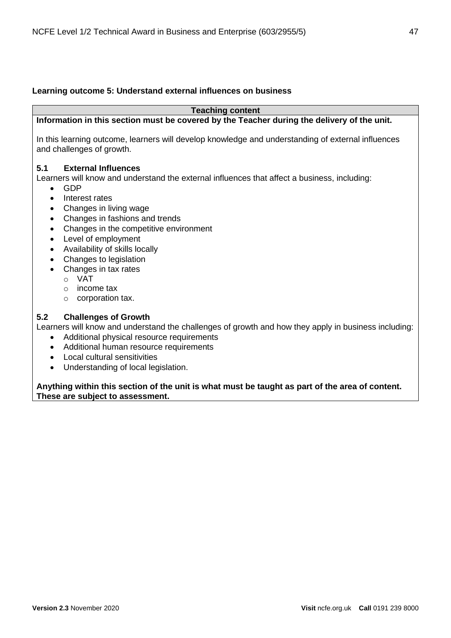# **Learning outcome 5: Understand external influences on business**

**Teaching content**

# **Information in this section must be covered by the Teacher during the delivery of the unit.**

In this learning outcome, learners will develop knowledge and understanding of external influences and challenges of growth.

# **5.1 External Influences**

Learners will know and understand the external influences that affect a business, including:

- GDP
- Interest rates
- Changes in living wage
- Changes in fashions and trends
- Changes in the competitive environment
- Level of employment
- Availability of skills locally
- Changes to legislation
- Changes in tax rates
	- o VAT
	- o income tax
	- o corporation tax.

# **5.2 Challenges of Growth**

Learners will know and understand the challenges of growth and how they apply in business including:

- Additional physical resource requirements
- Additional human resource requirements
- Local cultural sensitivities
- Understanding of local legislation.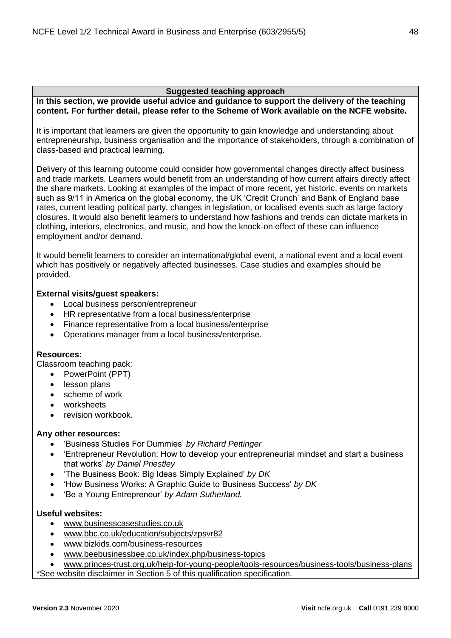**In this section, we provide useful advice and guidance to support the delivery of the teaching content. For further detail, please refer to the Scheme of Work available on the NCFE website.**

It is important that learners are given the opportunity to gain knowledge and understanding about entrepreneurship, business organisation and the importance of stakeholders, through a combination of class-based and practical learning.

Delivery of this learning outcome could consider how governmental changes directly affect business and trade markets. Learners would benefit from an understanding of how current affairs directly affect the share markets. Looking at examples of the impact of more recent, yet historic, events on markets such as 9/11 in America on the global economy, the UK 'Credit Crunch' and Bank of England base rates, current leading political party, changes in legislation, or localised events such as large factory closures. It would also benefit learners to understand how fashions and trends can dictate markets in clothing, interiors, electronics, and music, and how the knock-on effect of these can influence employment and/or demand.

It would benefit learners to consider an international/global event, a national event and a local event which has positively or negatively affected businesses. Case studies and examples should be provided.

# **External visits/guest speakers:**

- Local business person/entrepreneur
- HR representative from a local business/enterprise
- Finance representative from a local business/enterprise
- Operations manager from a local business/enterprise.

# **Resources:**

Classroom teaching pack:

- PowerPoint (PPT)
- lesson plans
- scheme of work
- worksheets
- revision workbook.

# **Any other resources:**

- 'Business Studies For Dummies' *by Richard Pettinger*
- 'Entrepreneur Revolution: How to develop your entrepreneurial mindset and start a business that works' *by Daniel Priestley*
- 'The Business Book: Big Ideas Simply Explained' *by DK*
- 'How Business Works: A Graphic Guide to Business Success' *by DK*
- 'Be a Young Entrepreneur' *by Adam Sutherland.*

# **Useful websites:**

- [www.businesscasestudies.co.uk](http://businesscasestudies.co.uk/)
- [www.bbc.co.uk/education/subjects/zpsvr82](https://www.bbc.co.uk/education/subjects/zpsvr82)
- [www.bizkids.com/business-resources](http://bizkids.com/business-resources)
- [www.beebusinessbee.co.uk/index.php/business-topics](http://www.beebusinessbee.co.uk/index.php/business-topics)

• [www.princes-trust.org.uk/help-for-young-people/tools-resources/business-tools/business-plans](https://www.princes-trust.org.uk/help-for-young-people/tools-resources/business-tools/business-plans)

\*See website disclaimer in Section 5 of this qualification specification.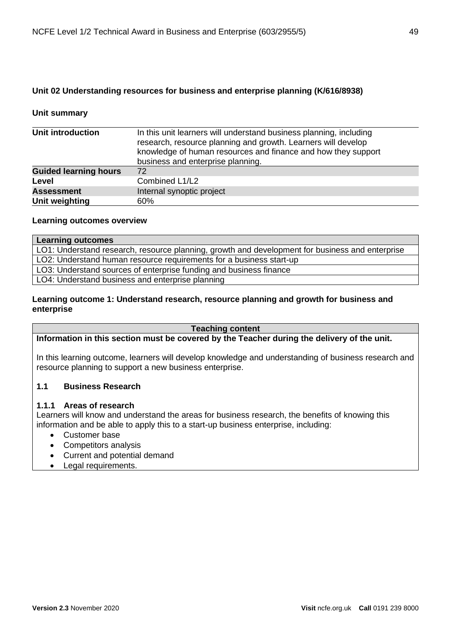# **Unit 02 Understanding resources for business and enterprise planning (K/616/8938)**

# **Unit summary**

| Unit introduction            | In this unit learners will understand business planning, including<br>research, resource planning and growth. Learners will develop<br>knowledge of human resources and finance and how they support<br>business and enterprise planning. |
|------------------------------|-------------------------------------------------------------------------------------------------------------------------------------------------------------------------------------------------------------------------------------------|
| <b>Guided learning hours</b> | 72                                                                                                                                                                                                                                        |
| Level                        | Combined L1/L2                                                                                                                                                                                                                            |
| <b>Assessment</b>            | Internal synoptic project                                                                                                                                                                                                                 |
| Unit weighting               | 60%                                                                                                                                                                                                                                       |

#### **Learning outcomes overview**

| <b>Learning outcomes</b>                                                                        |  |
|-------------------------------------------------------------------------------------------------|--|
| LO1: Understand research, resource planning, growth and development for business and enterprise |  |
| LO2: Understand human resource requirements for a business start-up                             |  |
| LO3: Understand sources of enterprise funding and business finance                              |  |
| LO4: Understand business and enterprise planning                                                |  |

# **Learning outcome 1: Understand research, resource planning and growth for business and enterprise**

#### **Teaching content**

**Information in this section must be covered by the Teacher during the delivery of the unit.**

In this learning outcome, learners will develop knowledge and understanding of business research and resource planning to support a new business enterprise.

# **1.1 Business Research**

# **1.1.1 Areas of research**

Learners will know and understand the areas for business research, the benefits of knowing this information and be able to apply this to a start-up business enterprise, including:

- Customer base
- Competitors analysis
- Current and potential demand
- Legal requirements.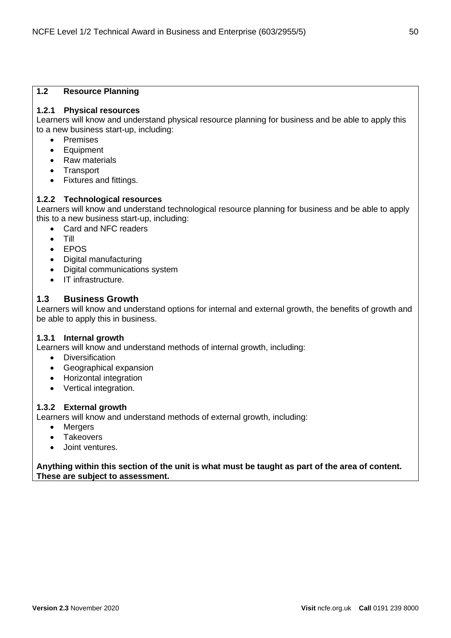# **1.2 Resource Planning**

# **1.2.1 Physical resources**

Learners will know and understand physical resource planning for business and be able to apply this to a new business start-up, including:

- Premises
- Equipment
- Raw materials
- Transport
- Fixtures and fittings.

# **1.2.2 Technological resources**

Learners will know and understand technological resource planning for business and be able to apply this to a new business start-up, including:

- Card and NFC readers
- Till
- EPOS
- Digital manufacturing
- Digital communications system
- IT infrastructure.

# **1.3 Business Growth**

Learners will know and understand options for internal and external growth, the benefits of growth and be able to apply this in business.

# **1.3.1 Internal growth**

Learners will know and understand methods of internal growth, including:

- Diversification
- Geographical expansion
- Horizontal integration
- Vertical integration.

# **1.3.2 External growth**

Learners will know and understand methods of external growth, including:

- Mergers
- Takeovers
- Joint ventures.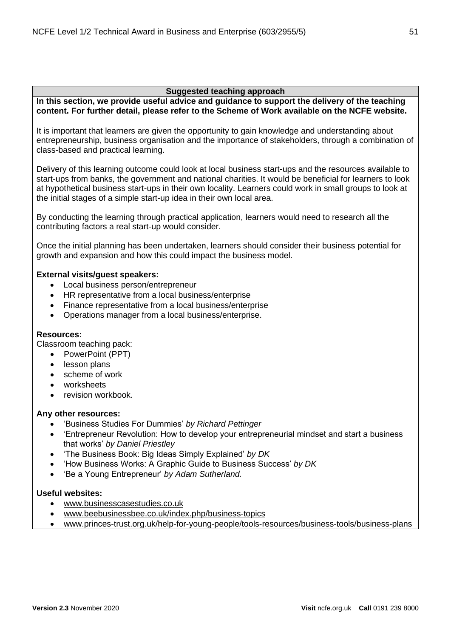**In this section, we provide useful advice and guidance to support the delivery of the teaching content. For further detail, please refer to the Scheme of Work available on the NCFE website.**

It is important that learners are given the opportunity to gain knowledge and understanding about entrepreneurship, business organisation and the importance of stakeholders, through a combination of class-based and practical learning.

Delivery of this learning outcome could look at local business start-ups and the resources available to start-ups from banks, the government and national charities. It would be beneficial for learners to look at hypothetical business start-ups in their own locality. Learners could work in small groups to look at the initial stages of a simple start-up idea in their own local area.

By conducting the learning through practical application, learners would need to research all the contributing factors a real start-up would consider.

Once the initial planning has been undertaken, learners should consider their business potential for growth and expansion and how this could impact the business model.

# **External visits/guest speakers:**

- Local business person/entrepreneur
- HR representative from a local business/enterprise
- Finance representative from a local business/enterprise
- Operations manager from a local business/enterprise.

# **Resources:**

Classroom teaching pack:

- PowerPoint (PPT)
- lesson plans
- scheme of work
- worksheets
- revision workbook.

# **Any other resources:**

- 'Business Studies For Dummies' *by Richard Pettinger*
- 'Entrepreneur Revolution: How to develop your entrepreneurial mindset and start a business that works' *by Daniel Priestley*
- 'The Business Book: Big Ideas Simply Explained' *by DK*
- 'How Business Works: A Graphic Guide to Business Success' *by DK*
- 'Be a Young Entrepreneur' *by Adam Sutherland.*

# **Useful websites:**

- [www.businesscasestudies.co.uk](http://businesscasestudies.co.uk/)
- [www.beebusinessbee.co.uk/index.php/business-topics](http://www.beebusinessbee.co.uk/index.php/business-topics)
- [www.princes-trust.org.uk/help-for-young-people/tools-resources/business-tools/business-plans](https://www.princes-trust.org.uk/help-for-young-people/tools-resources/business-tools/business-plans)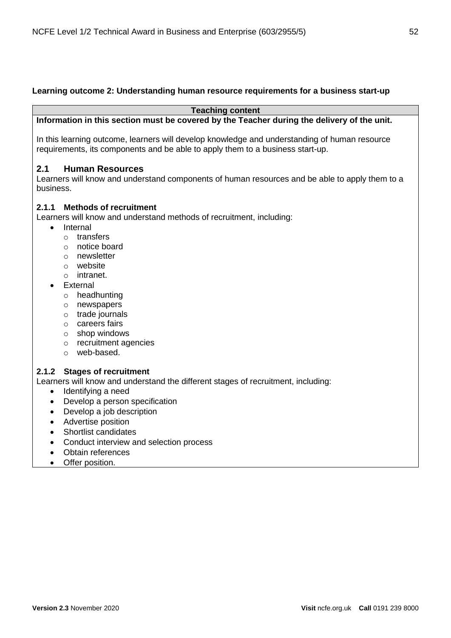# **Learning outcome 2: Understanding human resource requirements for a business start-up**

**Teaching content**

# **Information in this section must be covered by the Teacher during the delivery of the unit.**

In this learning outcome, learners will develop knowledge and understanding of human resource requirements, its components and be able to apply them to a business start-up.

# **2.1 Human Resources**

Learners will know and understand components of human resources and be able to apply them to a business.

# **2.1.1 Methods of recruitment**

Learners will know and understand methods of recruitment, including:

- Internal
	- o transfers
	- o notice board
	- o newsletter
	- o website
	- o intranet.
- **External** 
	- o headhunting
	- o newspapers
	- o trade journals
	- o careers fairs
	- o shop windows
	- o recruitment agencies
	- o web-based.

# **2.1.2 Stages of recruitment**

Learners will know and understand the different stages of recruitment, including:

- Identifying a need
- Develop a person specification
- Develop a job description
- Advertise position
- Shortlist candidates
- Conduct interview and selection process
- Obtain references
- Offer position.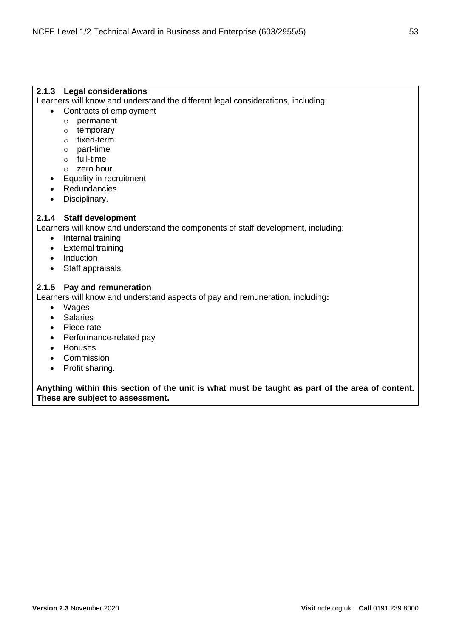# **2.1.3 Legal considerations**

Learners will know and understand the different legal considerations, including:

- Contracts of employment
	- o permanent
	- o temporary
	- o fixed-term
	- o part-time
	- o full-time
	- o zero hour.
- Equality in recruitment
- Redundancies
- Disciplinary.

# **2.1.4 Staff development**

Learners will know and understand the components of staff development, including:

- Internal training
- External training
- Induction
- Staff appraisals.

# **2.1.5 Pay and remuneration**

Learners will know and understand aspects of pay and remuneration, including**:**

- Wages
- Salaries
- Piece rate
- Performance-related pay
- Bonuses
- Commission
- Profit sharing.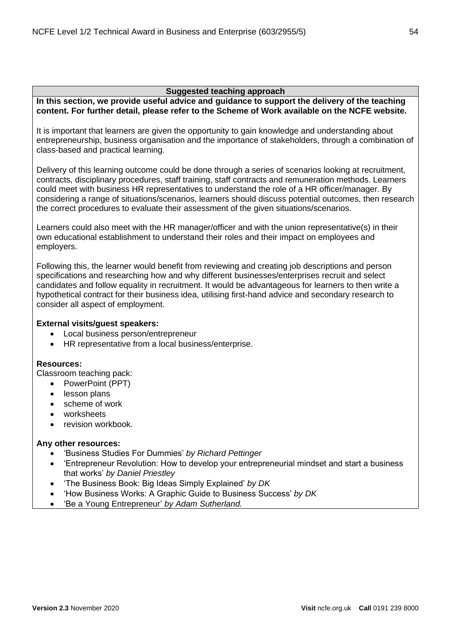**In this section, we provide useful advice and guidance to support the delivery of the teaching content. For further detail, please refer to the Scheme of Work available on the NCFE website.**

It is important that learners are given the opportunity to gain knowledge and understanding about entrepreneurship, business organisation and the importance of stakeholders, through a combination of class-based and practical learning.

Delivery of this learning outcome could be done through a series of scenarios looking at recruitment, contracts, disciplinary procedures, staff training, staff contracts and remuneration methods. Learners could meet with business HR representatives to understand the role of a HR officer/manager. By considering a range of situations/scenarios, learners should discuss potential outcomes, then research the correct procedures to evaluate their assessment of the given situations/scenarios.

Learners could also meet with the HR manager/officer and with the union representative(s) in their own educational establishment to understand their roles and their impact on employees and employers.

Following this, the learner would benefit from reviewing and creating job descriptions and person specifications and researching how and why different businesses/enterprises recruit and select candidates and follow equality in recruitment. It would be advantageous for learners to then write a hypothetical contract for their business idea, utilising first-hand advice and secondary research to consider all aspect of employment.

# **External visits/guest speakers:**

- Local business person/entrepreneur
- HR representative from a local business/enterprise.

# **Resources:**

Classroom teaching pack:

- PowerPoint (PPT)
- lesson plans
- scheme of work
- worksheets
- revision workbook.

# **Any other resources:**

- 'Business Studies For Dummies' *by Richard Pettinger*
- 'Entrepreneur Revolution: How to develop your entrepreneurial mindset and start a business that works' *by Daniel Priestley*
- 'The Business Book: Big Ideas Simply Explained' *by DK*
- 'How Business Works: A Graphic Guide to Business Success' *by DK*
- 'Be a Young Entrepreneur' *by Adam Sutherland.*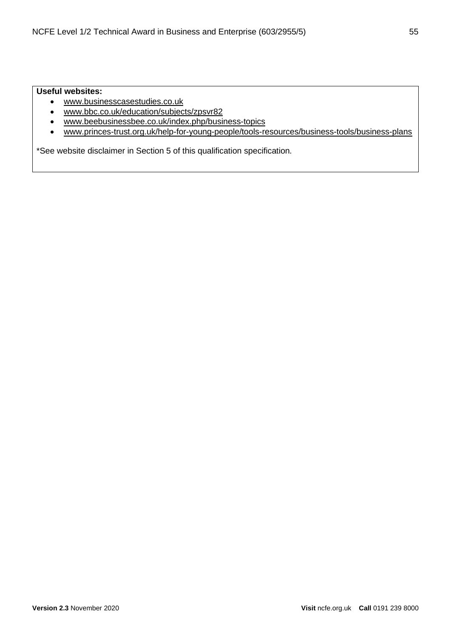# **Useful websites:**

- [www.businesscasestudies.co.uk](http://businesscasestudies.co.uk/)
- [www.bbc.co.uk/education/subjects/zpsvr82](https://www.bbc.co.uk/education/subjects/zpsvr82)
- [www.beebusinessbee.co.uk/index.php/business-topics](http://www.beebusinessbee.co.uk/index.php/business-topics)
- [www.princes-trust.org.uk/help-for-young-people/tools-resources/business-tools/business-plans](https://www.princes-trust.org.uk/help-for-young-people/tools-resources/business-tools/business-plans)

\*See website disclaimer in Section 5 of this qualification specification*.*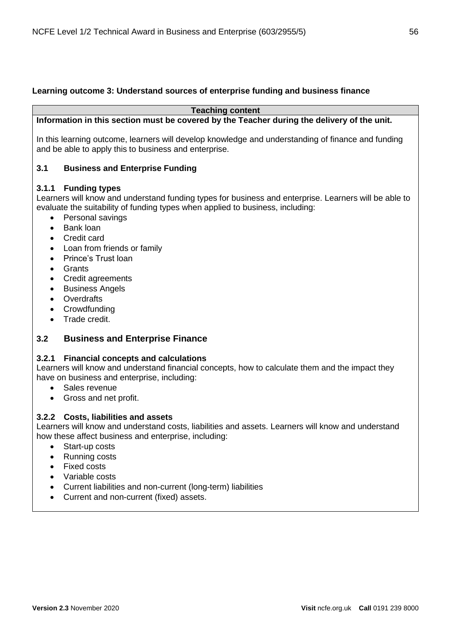# **Learning outcome 3: Understand sources of enterprise funding and business finance**

**Teaching content**

**Information in this section must be covered by the Teacher during the delivery of the unit.**

In this learning outcome, learners will develop knowledge and understanding of finance and funding and be able to apply this to business and enterprise.

# **3.1 Business and Enterprise Funding**

# **3.1.1 Funding types**

Learners will know and understand funding types for business and enterprise. Learners will be able to evaluate the suitability of funding types when applied to business, including:

- Personal savings
- Bank loan
- Credit card
- Loan from friends or family
- Prince's Trust loan
- Grants
- Credit agreements
- Business Angels
- Overdrafts
- **Crowdfunding**
- Trade credit.

# **3.2 Business and Enterprise Finance**

# **3.2.1 Financial concepts and calculations**

Learners will know and understand financial concepts, how to calculate them and the impact they have on business and enterprise, including:

- Sales revenue
- Gross and net profit.

# **3.2.2 Costs, liabilities and assets**

Learners will know and understand costs, liabilities and assets. Learners will know and understand how these affect business and enterprise, including:

- Start-up costs
- Running costs
- Fixed costs
- Variable costs
- Current liabilities and non-current (long-term) liabilities
- Current and non-current (fixed) assets.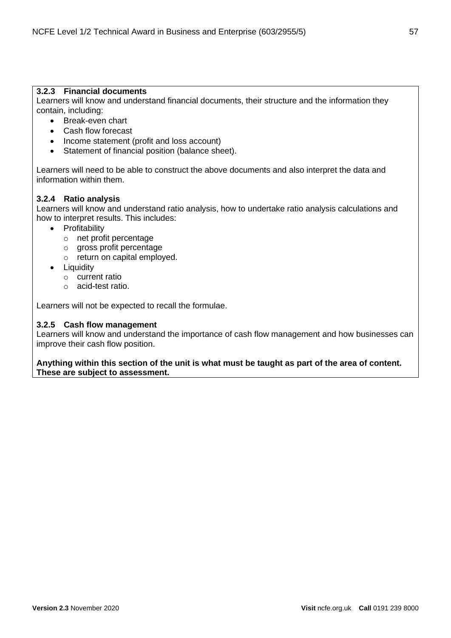# **3.2.3 Financial documents**

Learners will know and understand financial documents, their structure and the information they contain, including:

- Break-even chart
- Cash flow forecast
- Income statement (profit and loss account)
- Statement of financial position (balance sheet).

Learners will need to be able to construct the above documents and also interpret the data and information within them.

# **3.2.4 Ratio analysis**

Learners will know and understand ratio analysis, how to undertake ratio analysis calculations and how to interpret results. This includes:

- Profitability
	- o net profit percentage
	- o gross profit percentage
	- o return on capital employed.
- Liquidity
	- o current ratio
	- o acid-test ratio.

Learners will not be expected to recall the formulae.

# **3.2.5 Cash flow management**

Learners will know and understand the importance of cash flow management and how businesses can improve their cash flow position.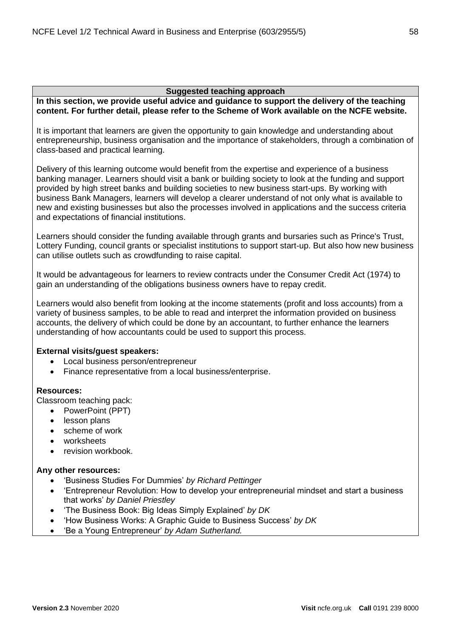**In this section, we provide useful advice and guidance to support the delivery of the teaching content. For further detail, please refer to the Scheme of Work available on the NCFE website.**

It is important that learners are given the opportunity to gain knowledge and understanding about entrepreneurship, business organisation and the importance of stakeholders, through a combination of class-based and practical learning.

Delivery of this learning outcome would benefit from the expertise and experience of a business banking manager. Learners should visit a bank or building society to look at the funding and support provided by high street banks and building societies to new business start-ups. By working with business Bank Managers, learners will develop a clearer understand of not only what is available to new and existing businesses but also the processes involved in applications and the success criteria and expectations of financial institutions.

Learners should consider the funding available through grants and bursaries such as Prince's Trust, Lottery Funding, council grants or specialist institutions to support start-up. But also how new business can utilise outlets such as crowdfunding to raise capital.

It would be advantageous for learners to review contracts under the Consumer Credit Act (1974) to gain an understanding of the obligations business owners have to repay credit.

Learners would also benefit from looking at the income statements (profit and loss accounts) from a variety of business samples, to be able to read and interpret the information provided on business accounts, the delivery of which could be done by an accountant, to further enhance the learners understanding of how accountants could be used to support this process.

# **External visits/guest speakers:**

- Local business person/entrepreneur
- Finance representative from a local business/enterprise.

# **Resources:**

Classroom teaching pack:

- PowerPoint (PPT)
- lesson plans
- scheme of work
- worksheets
- revision workbook.

# **Any other resources:**

- 'Business Studies For Dummies' *by Richard Pettinger*
- 'Entrepreneur Revolution: How to develop your entrepreneurial mindset and start a business that works' *by Daniel Priestley*
- 'The Business Book: Big Ideas Simply Explained' *by DK*
- 'How Business Works: A Graphic Guide to Business Success' *by DK*
- 'Be a Young Entrepreneur' *by Adam Sutherland.*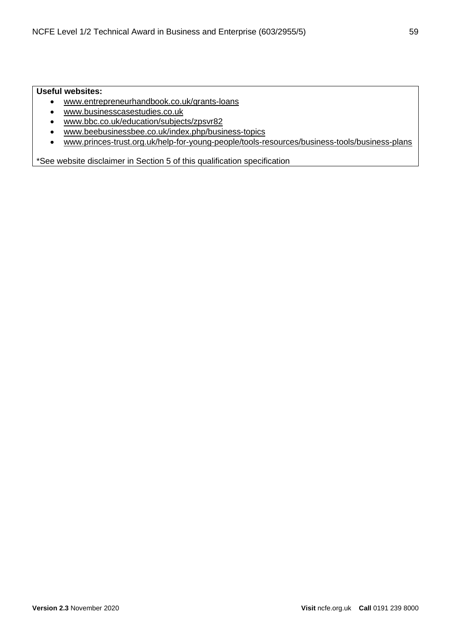# **Useful websites:**

- [www.entrepreneurhandbook.co.uk/grants-loans](http://entrepreneurhandbook.co.uk/grants-loans/)
- [www.businesscasestudies.co.uk](http://businesscasestudies.co.uk/)
- [www.bbc.co.uk/education/subjects/zpsvr82](https://www.bbc.co.uk/education/subjects/zpsvr82)
- [www.beebusinessbee.co.uk/index.php/business-topics](http://www.beebusinessbee.co.uk/index.php/business-topics)
- [www.princes-trust.org.uk/help-for-young-people/tools-resources/business-tools/business-plans](https://www.princes-trust.org.uk/help-for-young-people/tools-resources/business-tools/business-plans)

\*See website disclaimer in Section 5 of this qualification specification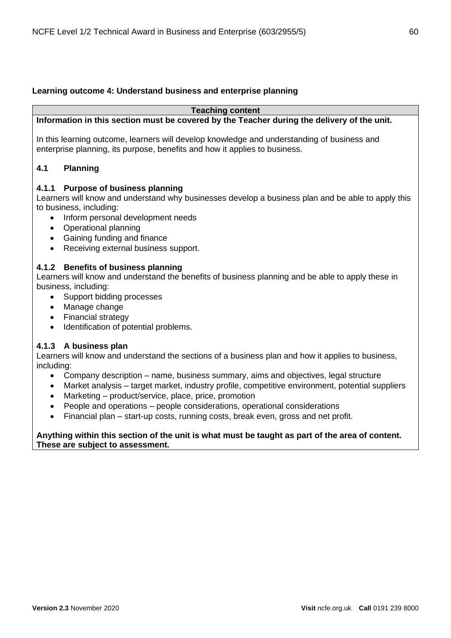# **Learning outcome 4: Understand business and enterprise planning**

#### **Teaching content**

# **Information in this section must be covered by the Teacher during the delivery of the unit.**

In this learning outcome, learners will develop knowledge and understanding of business and enterprise planning, its purpose, benefits and how it applies to business.

# **4.1 Planning**

# **4.1.1 Purpose of business planning**

Learners will know and understand why businesses develop a business plan and be able to apply this to business, including:

- Inform personal development needs
- Operational planning
- Gaining funding and finance
- Receiving external business support.

# **4.1.2 Benefits of business planning**

Learners will know and understand the benefits of business planning and be able to apply these in business, including:

- Support bidding processes
- Manage change
- Financial strategy
- Identification of potential problems.

# **4.1.3 A business plan**

Learners will know and understand the sections of a business plan and how it applies to business, including:

- Company description name, business summary, aims and objectives, legal structure
- Market analysis target market, industry profile, competitive environment, potential suppliers • Marketing – product/service, place, price, promotion
- People and operations people considerations, operational considerations
- Financial plan start-up costs, running costs, break even, gross and net profit.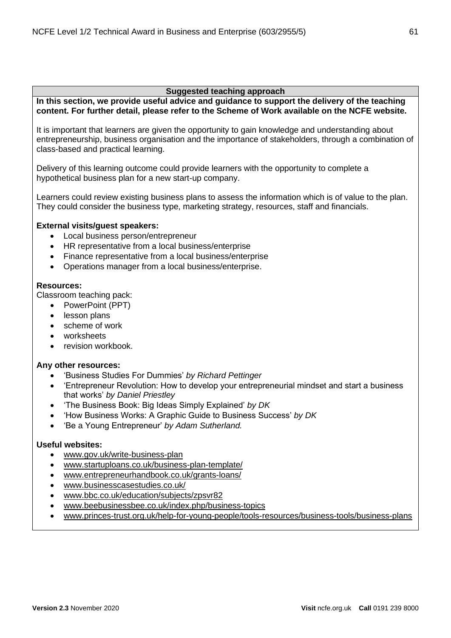**In this section, we provide useful advice and guidance to support the delivery of the teaching content. For further detail, please refer to the Scheme of Work available on the NCFE website.**

It is important that learners are given the opportunity to gain knowledge and understanding about entrepreneurship, business organisation and the importance of stakeholders, through a combination of class-based and practical learning.

Delivery of this learning outcome could provide learners with the opportunity to complete a hypothetical business plan for a new start-up company.

Learners could review existing business plans to assess the information which is of value to the plan. They could consider the business type, marketing strategy, resources, staff and financials.

# **External visits/guest speakers:**

- Local business person/entrepreneur
- HR representative from a local business/enterprise
- Finance representative from a local business/enterprise
- Operations manager from a local business/enterprise.

#### **Resources:**

Classroom teaching pack:

- PowerPoint (PPT)
- lesson plans
- scheme of work
- worksheets
- revision workbook.

#### **Any other resources:**

- 'Business Studies For Dummies' *by Richard Pettinger*
- 'Entrepreneur Revolution: How to develop your entrepreneurial mindset and start a business that works' *by Daniel Priestley*
- 'The Business Book: Big Ideas Simply Explained' *by DK*
- 'How Business Works: A Graphic Guide to Business Success' *by DK*
- 'Be a Young Entrepreneur' *by Adam Sutherland.*

# **Useful websites:**

- [www.gov.uk/write-business-plan](https://www.gov.uk/write-business-plan)
- [www.startuploans.co.uk/business-plan-template/](https://www.startuploans.co.uk/business-plan-template/)
- [www.entrepreneurhandbook.co.uk/grants-loans/](http://entrepreneurhandbook.co.uk/grants-loans/)
- [www.businesscasestudies.co.uk/](http://businesscasestudies.co.uk/)
- [www.bbc.co.uk/education/subjects/zpsvr82](https://www.bbc.co.uk/education/subjects/zpsvr82)
- [www.beebusinessbee.co.uk/index.php/business-topics](http://www.beebusinessbee.co.uk/index.php/business-topics)
- [www.princes-trust.org.uk/help-for-young-people/tools-resources/business-tools/business-plans](https://www.princes-trust.org.uk/help-for-young-people/tools-resources/business-tools/business-plans)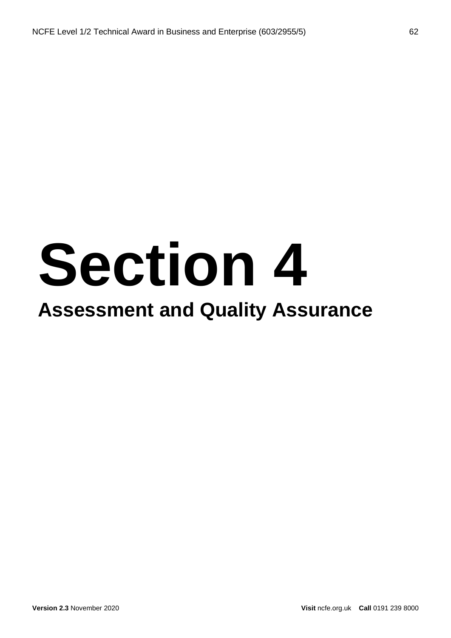# **Section 4**

# **Assessment and Quality Assurance**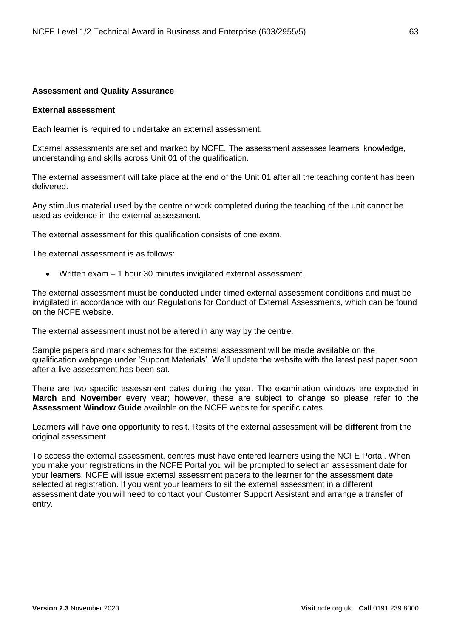# **Assessment and Quality Assurance**

#### **External assessment**

Each learner is required to undertake an external assessment.

External assessments are set and marked by NCFE. The assessment assesses learners' knowledge, understanding and skills across Unit 01 of the qualification.

The external assessment will take place at the end of the Unit 01 after all the teaching content has been delivered.

Any stimulus material used by the centre or work completed during the teaching of the unit cannot be used as evidence in the external assessment.

The external assessment for this qualification consists of one exam.

The external assessment is as follows:

• Written exam – 1 hour 30 minutes invigilated external assessment.

The external assessment must be conducted under timed external assessment conditions and must be invigilated in accordance with our Regulations for Conduct of External Assessments, which can be found on the NCFE website.

The external assessment must not be altered in any way by the centre.

Sample papers and mark schemes for the external assessment will be made available on the qualification webpage under 'Support Materials'. We'll update the website with the latest past paper soon after a live assessment has been sat.

There are two specific assessment dates during the year. The examination windows are expected in **March** and **November** every year; however, these are subject to change so please refer to the **Assessment Window Guide** available on the NCFE website for specific dates.

Learners will have **one** opportunity to resit. Resits of the external assessment will be **different** from the original assessment.

To access the external assessment, centres must have entered learners using the NCFE Portal. When you make your registrations in the NCFE Portal you will be prompted to select an assessment date for your learners. NCFE will issue external assessment papers to the learner for the assessment date selected at registration. If you want your learners to sit the external assessment in a different assessment date you will need to contact your Customer Support Assistant and arrange a transfer of entry.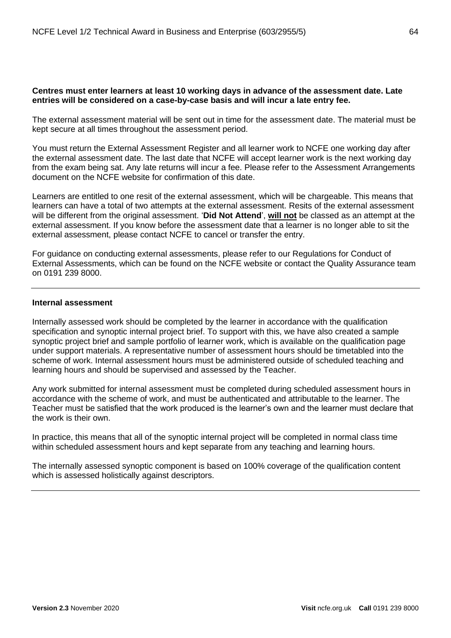# **Centres must enter learners at least 10 working days in advance of the assessment date. Late entries will be considered on a case-by-case basis and will incur a late entry fee.**

The external assessment material will be sent out in time for the assessment date. The material must be kept secure at all times throughout the assessment period.

You must return the External Assessment Register and all learner work to NCFE one working day after the external assessment date. The last date that NCFE will accept learner work is the next working day from the exam being sat. Any late returns will incur a fee. Please refer to the Assessment Arrangements document on the NCFE website for confirmation of this date.

Learners are entitled to one resit of the external assessment, which will be chargeable. This means that learners can have a total of two attempts at the external assessment. Resits of the external assessment will be different from the original assessment. '**Did Not Attend**', **will not** be classed as an attempt at the external assessment. If you know before the assessment date that a learner is no longer able to sit the external assessment, please contact NCFE to cancel or transfer the entry.

For guidance on conducting external assessments, please refer to our Regulations for Conduct of External Assessments, which can be found on the NCFE website or contact the Quality Assurance team on 0191 239 8000.

#### **Internal assessment**

Internally assessed work should be completed by the learner in accordance with the qualification specification and synoptic internal project brief. To support with this, we have also created a sample synoptic project brief and sample portfolio of learner work, which is available on the qualification page under support materials. A representative number of assessment hours should be timetabled into the scheme of work. Internal assessment hours must be administered outside of scheduled teaching and learning hours and should be supervised and assessed by the Teacher.

Any work submitted for internal assessment must be completed during scheduled assessment hours in accordance with the scheme of work, and must be authenticated and attributable to the learner. The Teacher must be satisfied that the work produced is the learner's own and the learner must declare that the work is their own.

In practice, this means that all of the synoptic internal project will be completed in normal class time within scheduled assessment hours and kept separate from any teaching and learning hours.

The internally assessed synoptic component is based on 100% coverage of the qualification content which is assessed holistically against descriptors.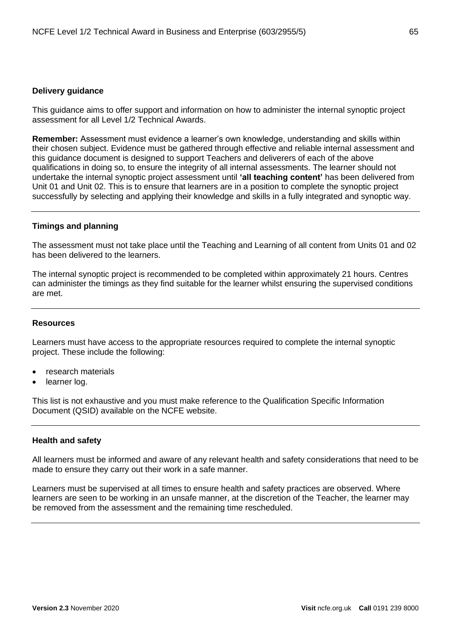#### **Delivery guidance**

This guidance aims to offer support and information on how to administer the internal synoptic project assessment for all Level 1/2 Technical Awards.

**Remember:** Assessment must evidence a learner's own knowledge, understanding and skills within their chosen subject. Evidence must be gathered through effective and reliable internal assessment and this guidance document is designed to support Teachers and deliverers of each of the above qualifications in doing so, to ensure the integrity of all internal assessments. The learner should not undertake the internal synoptic project assessment until **'all teaching content'** has been delivered from Unit 01 and Unit 02. This is to ensure that learners are in a position to complete the synoptic project successfully by selecting and applying their knowledge and skills in a fully integrated and synoptic way.

#### **Timings and planning**

The assessment must not take place until the Teaching and Learning of all content from Units 01 and 02 has been delivered to the learners.

The internal synoptic project is recommended to be completed within approximately 21 hours. Centres can administer the timings as they find suitable for the learner whilst ensuring the supervised conditions are met.

#### **Resources**

Learners must have access to the appropriate resources required to complete the internal synoptic project. These include the following:

- research materials
- learner log.

This list is not exhaustive and you must make reference to the Qualification Specific Information Document (QSID) available on the NCFE website.

#### **Health and safety**

All learners must be informed and aware of any relevant health and safety considerations that need to be made to ensure they carry out their work in a safe manner.

Learners must be supervised at all times to ensure health and safety practices are observed. Where learners are seen to be working in an unsafe manner, at the discretion of the Teacher, the learner may be removed from the assessment and the remaining time rescheduled.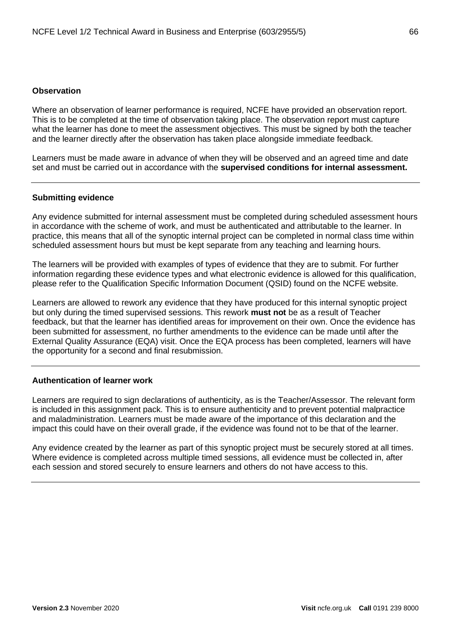# **Observation**

Where an observation of learner performance is required, NCFE have provided an observation report. This is to be completed at the time of observation taking place. The observation report must capture what the learner has done to meet the assessment objectives. This must be signed by both the teacher and the learner directly after the observation has taken place alongside immediate feedback.

Learners must be made aware in advance of when they will be observed and an agreed time and date set and must be carried out in accordance with the **supervised conditions for internal assessment.**

#### **Submitting evidence**

Any evidence submitted for internal assessment must be completed during scheduled assessment hours in accordance with the scheme of work, and must be authenticated and attributable to the learner. In practice, this means that all of the synoptic internal project can be completed in normal class time within scheduled assessment hours but must be kept separate from any teaching and learning hours.

The learners will be provided with examples of types of evidence that they are to submit. For further information regarding these evidence types and what electronic evidence is allowed for this qualification, please refer to the Qualification Specific Information Document (QSID) found on the NCFE website.

Learners are allowed to rework any evidence that they have produced for this internal synoptic project but only during the timed supervised sessions. This rework **must not** be as a result of Teacher feedback, but that the learner has identified areas for improvement on their own. Once the evidence has been submitted for assessment, no further amendments to the evidence can be made until after the External Quality Assurance (EQA) visit. Once the EQA process has been completed, learners will have the opportunity for a second and final resubmission.

#### **Authentication of learner work**

Learners are required to sign declarations of authenticity, as is the Teacher/Assessor. The relevant form is included in this assignment pack. This is to ensure authenticity and to prevent potential malpractice and maladministration. Learners must be made aware of the importance of this declaration and the impact this could have on their overall grade, if the evidence was found not to be that of the learner.

Any evidence created by the learner as part of this synoptic project must be securely stored at all times. Where evidence is completed across multiple timed sessions, all evidence must be collected in, after each session and stored securely to ensure learners and others do not have access to this.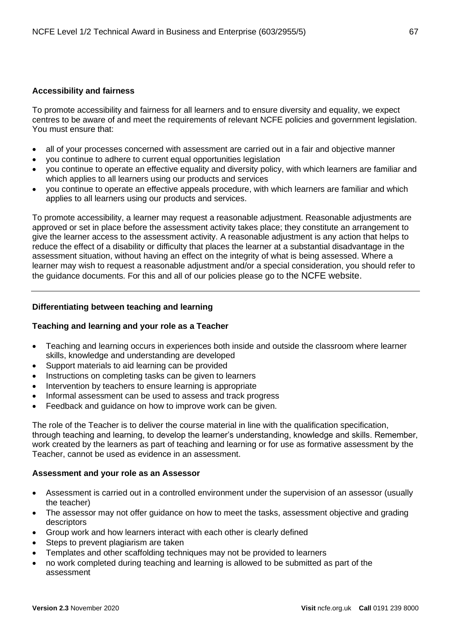# **Accessibility and fairness**

To promote accessibility and fairness for all learners and to ensure diversity and equality, we expect centres to be aware of and meet the requirements of relevant NCFE policies and government legislation. You must ensure that:

- all of your processes concerned with assessment are carried out in a fair and objective manner
- you continue to adhere to current equal opportunities legislation
- you continue to operate an effective equality and diversity policy, with which learners are familiar and which applies to all learners using our products and services
- you continue to operate an effective appeals procedure, with which learners are familiar and which applies to all learners using our products and services.

To promote accessibility, a learner may request a reasonable adjustment. Reasonable adjustments are approved or set in place before the assessment activity takes place; they constitute an arrangement to give the learner access to the assessment activity. A reasonable adjustment is any action that helps to reduce the effect of a disability or difficulty that places the learner at a substantial disadvantage in the assessment situation, without having an effect on the integrity of what is being assessed. Where a learner may wish to request a reasonable adjustment and/or a special consideration, you should refer to the guidance documents. For this and all of our policies please go to the NCFE website.

# **Differentiating between teaching and learning**

# **Teaching and learning and your role as a Teacher**

- Teaching and learning occurs in experiences both inside and outside the classroom where learner skills, knowledge and understanding are developed
- Support materials to aid learning can be provided
- Instructions on completing tasks can be given to learners
- Intervention by teachers to ensure learning is appropriate
- Informal assessment can be used to assess and track progress
- Feedback and guidance on how to improve work can be given.

The role of the Teacher is to deliver the course material in line with the qualification specification, through teaching and learning, to develop the learner's understanding, knowledge and skills. Remember, work created by the learners as part of teaching and learning or for use as formative assessment by the Teacher, cannot be used as evidence in an assessment.

# **Assessment and your role as an Assessor**

- Assessment is carried out in a controlled environment under the supervision of an assessor (usually the teacher)
- The assessor may not offer guidance on how to meet the tasks, assessment objective and grading descriptors
- Group work and how learners interact with each other is clearly defined
- Steps to prevent plagiarism are taken
- Templates and other scaffolding techniques may not be provided to learners
- no work completed during teaching and learning is allowed to be submitted as part of the assessment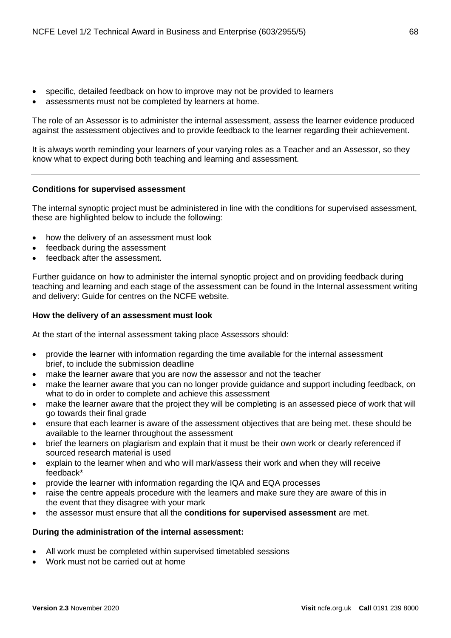- specific, detailed feedback on how to improve may not be provided to learners
- assessments must not be completed by learners at home.

The role of an Assessor is to administer the internal assessment, assess the learner evidence produced against the assessment objectives and to provide feedback to the learner regarding their achievement.

It is always worth reminding your learners of your varying roles as a Teacher and an Assessor, so they know what to expect during both teaching and learning and assessment.

# **Conditions for supervised assessment**

The internal synoptic project must be administered in line with the conditions for supervised assessment, these are highlighted below to include the following:

- how the delivery of an assessment must look
- feedback during the assessment
- feedback after the assessment.

Further guidance on how to administer the internal synoptic project and on providing feedback during teaching and learning and each stage of the assessment can be found in the Internal assessment writing and delivery: Guide for centres on the NCFE website.

# **How the delivery of an assessment must look**

At the start of the internal assessment taking place Assessors should:

- provide the learner with information regarding the time available for the internal assessment brief, to include the submission deadline
- make the learner aware that you are now the assessor and not the teacher
- make the learner aware that you can no longer provide guidance and support including feedback, on what to do in order to complete and achieve this assessment
- make the learner aware that the project they will be completing is an assessed piece of work that will go towards their final grade
- ensure that each learner is aware of the assessment objectives that are being met. these should be available to the learner throughout the assessment
- brief the learners on plagiarism and explain that it must be their own work or clearly referenced if sourced research material is used
- explain to the learner when and who will mark/assess their work and when they will receive feedback\*
- provide the learner with information regarding the IQA and EQA processes
- raise the centre appeals procedure with the learners and make sure they are aware of this in the event that they disagree with your mark
- the assessor must ensure that all the **conditions for supervised assessment** are met.

# **During the administration of the internal assessment:**

- All work must be completed within supervised timetabled sessions
- Work must not be carried out at home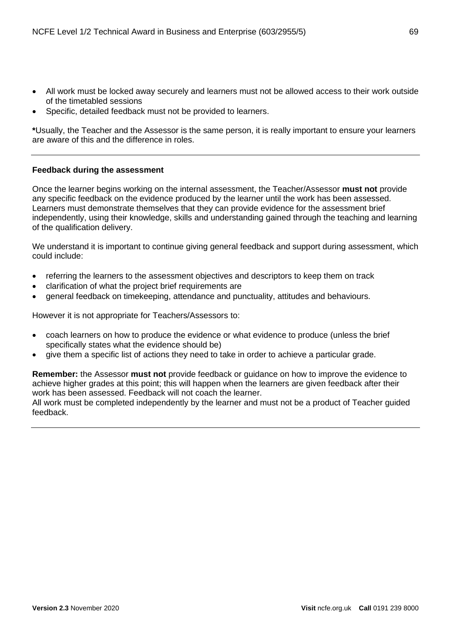- All work must be locked away securely and learners must not be allowed access to their work outside of the timetabled sessions
- Specific, detailed feedback must not be provided to learners.

**\***Usually, the Teacher and the Assessor is the same person, it is really important to ensure your learners are aware of this and the difference in roles.

# **Feedback during the assessment**

Once the learner begins working on the internal assessment, the Teacher/Assessor **must not** provide any specific feedback on the evidence produced by the learner until the work has been assessed. Learners must demonstrate themselves that they can provide evidence for the assessment brief independently, using their knowledge, skills and understanding gained through the teaching and learning of the qualification delivery.

We understand it is important to continue giving general feedback and support during assessment, which could include:

- referring the learners to the assessment objectives and descriptors to keep them on track
- clarification of what the project brief requirements are
- general feedback on timekeeping, attendance and punctuality, attitudes and behaviours.

However it is not appropriate for Teachers/Assessors to:

- coach learners on how to produce the evidence or what evidence to produce (unless the brief specifically states what the evidence should be)
- give them a specific list of actions they need to take in order to achieve a particular grade.

**Remember:** the Assessor **must not** provide feedback or guidance on how to improve the evidence to achieve higher grades at this point; this will happen when the learners are given feedback after their work has been assessed. Feedback will not coach the learner.

All work must be completed independently by the learner and must not be a product of Teacher guided feedback.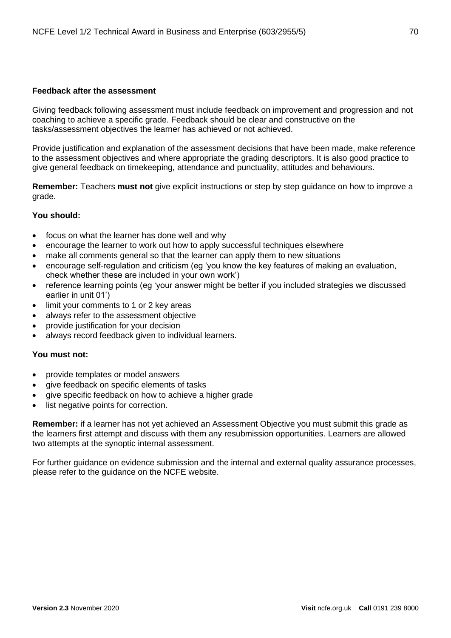# **Feedback after the assessment**

Giving feedback following assessment must include feedback on improvement and progression and not coaching to achieve a specific grade. Feedback should be clear and constructive on the tasks/assessment objectives the learner has achieved or not achieved.

Provide justification and explanation of the assessment decisions that have been made, make reference to the assessment objectives and where appropriate the grading descriptors. It is also good practice to give general feedback on timekeeping, attendance and punctuality, attitudes and behaviours.

**Remember:** Teachers **must not** give explicit instructions or step by step guidance on how to improve a grade.

# **You should:**

- focus on what the learner has done well and why
- encourage the learner to work out how to apply successful techniques elsewhere
- make all comments general so that the learner can apply them to new situations
- encourage self-regulation and criticism (eg 'you know the key features of making an evaluation, check whether these are included in your own work')
- reference learning points (eg 'your answer might be better if you included strategies we discussed earlier in unit 01')
- limit your comments to 1 or 2 key areas
- always refer to the assessment objective
- provide justification for your decision
- always record feedback given to individual learners.

# **You must not:**

- provide templates or model answers
- give feedback on specific elements of tasks
- give specific feedback on how to achieve a higher grade
- list negative points for correction.

**Remember:** if a learner has not yet achieved an Assessment Objective you must submit this grade as the learners first attempt and discuss with them any resubmission opportunities. Learners are allowed two attempts at the synoptic internal assessment.

For further guidance on evidence submission and the internal and external quality assurance processes, please refer to the guidance on the NCFE website.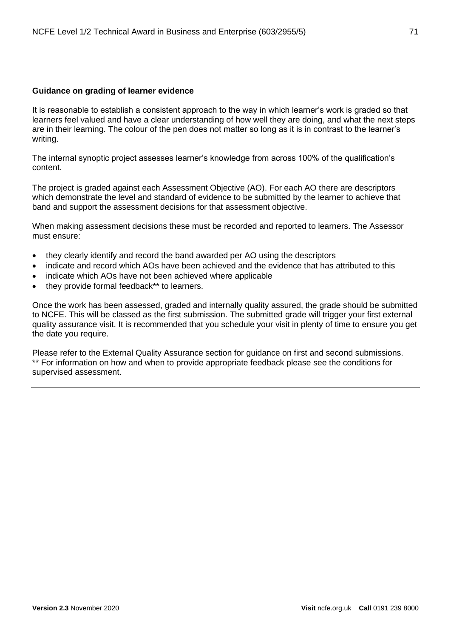# **Guidance on grading of learner evidence**

It is reasonable to establish a consistent approach to the way in which learner's work is graded so that learners feel valued and have a clear understanding of how well they are doing, and what the next steps are in their learning. The colour of the pen does not matter so long as it is in contrast to the learner's writing.

The internal synoptic project assesses learner's knowledge from across 100% of the qualification's content.

The project is graded against each Assessment Objective (AO). For each AO there are descriptors which demonstrate the level and standard of evidence to be submitted by the learner to achieve that band and support the assessment decisions for that assessment objective.

When making assessment decisions these must be recorded and reported to learners. The Assessor must ensure:

- they clearly identify and record the band awarded per AO using the descriptors
- indicate and record which AOs have been achieved and the evidence that has attributed to this
- indicate which AOs have not been achieved where applicable
- they provide formal feedback\*\* to learners.

Once the work has been assessed, graded and internally quality assured, the grade should be submitted to NCFE. This will be classed as the first submission. The submitted grade will trigger your first external quality assurance visit. It is recommended that you schedule your visit in plenty of time to ensure you get the date you require.

Please refer to the External Quality Assurance section for guidance on first and second submissions. \*\* For information on how and when to provide appropriate feedback please see the conditions for supervised assessment.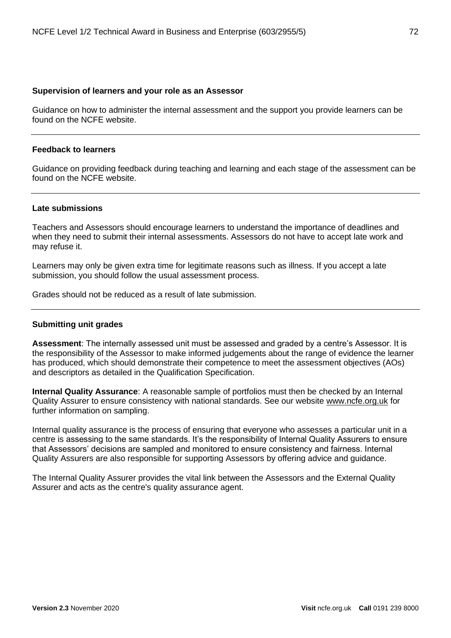#### **Supervision of learners and your role as an Assessor**

Guidance on how to administer the internal assessment and the support you provide learners can be found on the NCFE website.

#### **Feedback to learners**

Guidance on providing feedback during teaching and learning and each stage of the assessment can be found on the NCFE website.

#### **Late submissions**

Teachers and Assessors should encourage learners to understand the importance of deadlines and when they need to submit their internal assessments. Assessors do not have to accept late work and may refuse it.

Learners may only be given extra time for legitimate reasons such as illness. If you accept a late submission, you should follow the usual assessment process.

Grades should not be reduced as a result of late submission.

# **Submitting unit grades**

**Assessment**: The internally assessed unit must be assessed and graded by a centre's Assessor. It is the responsibility of the Assessor to make informed judgements about the range of evidence the learner has produced, which should demonstrate their competence to meet the assessment objectives (AOs) and descriptors as detailed in the Qualification Specification.

**Internal Quality Assurance**: A reasonable sample of portfolios must then be checked by an Internal Quality Assurer to ensure consistency with national standards. See our website [www.ncfe.org.uk](http://www.ncfe.org.uk/) for further information on sampling.

Internal quality assurance is the process of ensuring that everyone who assesses a particular unit in a centre is assessing to the same standards. It's the responsibility of Internal Quality Assurers to ensure that Assessors' decisions are sampled and monitored to ensure consistency and fairness. Internal Quality Assurers are also responsible for supporting Assessors by offering advice and guidance.

The Internal Quality Assurer provides the vital link between the Assessors and the External Quality Assurer and acts as the centre's quality assurance agent.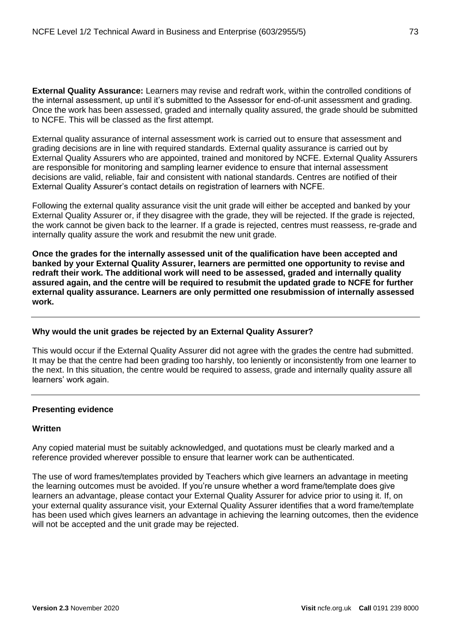**External Quality Assurance:** Learners may revise and redraft work, within the controlled conditions of the internal assessment, up until it's submitted to the Assessor for end-of-unit assessment and grading. Once the work has been assessed, graded and internally quality assured, the grade should be submitted to NCFE. This will be classed as the first attempt.

External quality assurance of internal assessment work is carried out to ensure that assessment and grading decisions are in line with required standards. External quality assurance is carried out by External Quality Assurers who are appointed, trained and monitored by NCFE. External Quality Assurers are responsible for monitoring and sampling learner evidence to ensure that internal assessment decisions are valid, reliable, fair and consistent with national standards. Centres are notified of their External Quality Assurer's contact details on registration of learners with NCFE.

Following the external quality assurance visit the unit grade will either be accepted and banked by your External Quality Assurer or, if they disagree with the grade, they will be rejected. If the grade is rejected, the work cannot be given back to the learner. If a grade is rejected, centres must reassess, re-grade and internally quality assure the work and resubmit the new unit grade.

**Once the grades for the internally assessed unit of the qualification have been accepted and banked by your External Quality Assurer, learners are permitted one opportunity to revise and redraft their work. The additional work will need to be assessed, graded and internally quality assured again, and the centre will be required to resubmit the updated grade to NCFE for further external quality assurance. Learners are only permitted one resubmission of internally assessed work.**

# **Why would the unit grades be rejected by an External Quality Assurer?**

This would occur if the External Quality Assurer did not agree with the grades the centre had submitted. It may be that the centre had been grading too harshly, too leniently or inconsistently from one learner to the next. In this situation, the centre would be required to assess, grade and internally quality assure all learners' work again.

# **Presenting evidence**

# **Written**

Any copied material must be suitably acknowledged, and quotations must be clearly marked and a reference provided wherever possible to ensure that learner work can be authenticated.

The use of word frames/templates provided by Teachers which give learners an advantage in meeting the learning outcomes must be avoided. If you're unsure whether a word frame/template does give learners an advantage, please contact your External Quality Assurer for advice prior to using it. If, on your external quality assurance visit, your External Quality Assurer identifies that a word frame/template has been used which gives learners an advantage in achieving the learning outcomes, then the evidence will not be accepted and the unit grade may be rejected.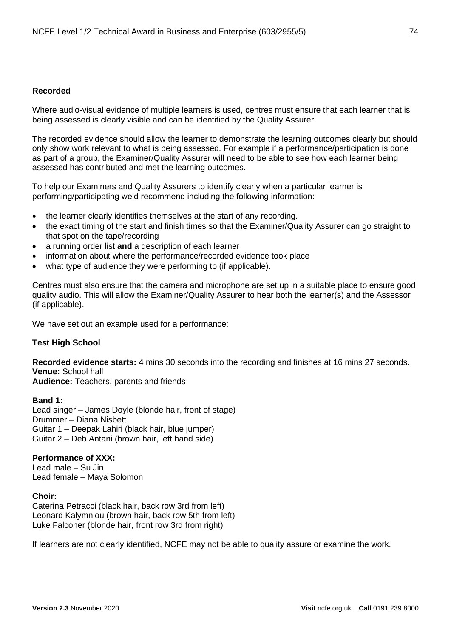# **Recorded**

Where audio-visual evidence of multiple learners is used, centres must ensure that each learner that is being assessed is clearly visible and can be identified by the Quality Assurer.

The recorded evidence should allow the learner to demonstrate the learning outcomes clearly but should only show work relevant to what is being assessed. For example if a performance/participation is done as part of a group, the Examiner/Quality Assurer will need to be able to see how each learner being assessed has contributed and met the learning outcomes.

To help our Examiners and Quality Assurers to identify clearly when a particular learner is performing/participating we'd recommend including the following information:

- the learner clearly identifies themselves at the start of any recording.
- the exact timing of the start and finish times so that the Examiner/Quality Assurer can go straight to that spot on the tape/recording
- a running order list **and** a description of each learner
- information about where the performance/recorded evidence took place
- what type of audience they were performing to (if applicable).

Centres must also ensure that the camera and microphone are set up in a suitable place to ensure good quality audio. This will allow the Examiner/Quality Assurer to hear both the learner(s) and the Assessor (if applicable).

We have set out an example used for a performance:

# **Test High School**

**Recorded evidence starts:** 4 mins 30 seconds into the recording and finishes at 16 mins 27 seconds. **Venue:** School hall

**Audience:** Teachers, parents and friends

**Band 1:** Lead singer – James Doyle (blonde hair, front of stage) Drummer – Diana Nisbett Guitar 1 – Deepak Lahiri (black hair, blue jumper) Guitar 2 – Deb Antani (brown hair, left hand side)

# **Performance of XXX:**

Lead male – Su Jin Lead female – Maya Solomon

**Choir:** Caterina Petracci (black hair, back row 3rd from left) Leonard Kalymniou (brown hair, back row 5th from left) Luke Falconer (blonde hair, front row 3rd from right)

If learners are not clearly identified, NCFE may not be able to quality assure or examine the work.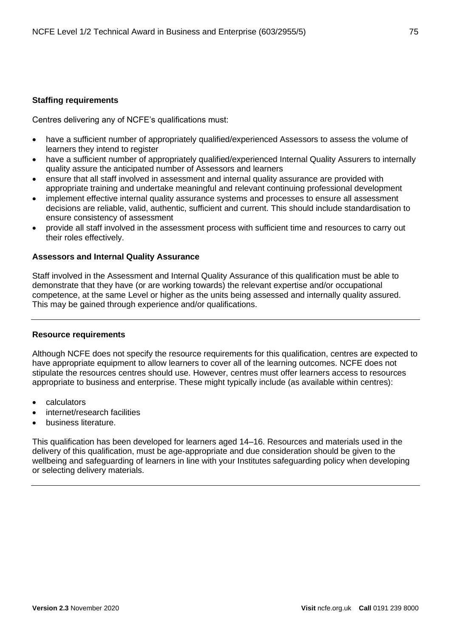# **Staffing requirements**

Centres delivering any of NCFE's qualifications must:

- have a sufficient number of appropriately qualified/experienced Assessors to assess the volume of learners they intend to register
- have a sufficient number of appropriately qualified/experienced Internal Quality Assurers to internally quality assure the anticipated number of Assessors and learners
- ensure that all staff involved in assessment and internal quality assurance are provided with appropriate training and undertake meaningful and relevant continuing professional development
- implement effective internal quality assurance systems and processes to ensure all assessment decisions are reliable, valid, authentic, sufficient and current. This should include standardisation to ensure consistency of assessment
- provide all staff involved in the assessment process with sufficient time and resources to carry out their roles effectively.

# **Assessors and Internal Quality Assurance**

Staff involved in the Assessment and Internal Quality Assurance of this qualification must be able to demonstrate that they have (or are working towards) the relevant expertise and/or occupational competence, at the same Level or higher as the units being assessed and internally quality assured. This may be gained through experience and/or qualifications.

# **Resource requirements**

Although NCFE does not specify the resource requirements for this qualification, centres are expected to have appropriate equipment to allow learners to cover all of the learning outcomes. NCFE does not stipulate the resources centres should use. However, centres must offer learners access to resources appropriate to business and enterprise. These might typically include (as available within centres):

- calculators
- internet/research facilities
- business literature.

This qualification has been developed for learners aged 14–16. Resources and materials used in the delivery of this qualification, must be age-appropriate and due consideration should be given to the wellbeing and safeguarding of learners in line with your Institutes safeguarding policy when developing or selecting delivery materials.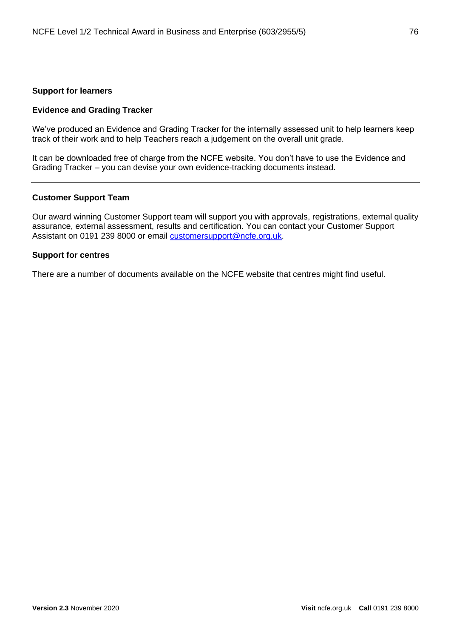# **Support for learners**

# **Evidence and Grading Tracker**

We've produced an Evidence and Grading Tracker for the internally assessed unit to help learners keep track of their work and to help Teachers reach a judgement on the overall unit grade.

It can be downloaded free of charge from the NCFE website. You don't have to use the Evidence and Grading Tracker – you can devise your own evidence-tracking documents instead.

#### **Customer Support Team**

Our award winning Customer Support team will support you with approvals, registrations, external quality assurance, external assessment, results and certification. You can contact your Customer Support Assistant on 0191 239 8000 or email [customersupport@ncfe.org.uk.](mailto:customersupport@ncfe.org.uk)

#### **Support for centres**

There are a number of documents available on the NCFE website that centres might find useful.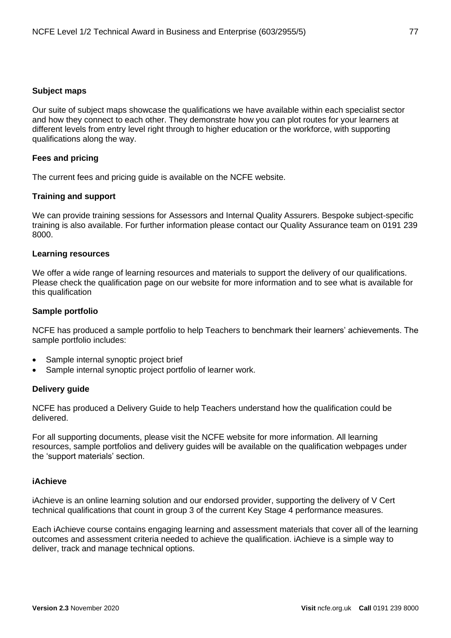#### **Subject maps**

Our suite of subject maps showcase the qualifications we have available within each specialist sector and how they connect to each other. They demonstrate how you can plot routes for your learners at different levels from entry level right through to higher education or the workforce, with supporting qualifications along the way.

#### **Fees and pricing**

The current fees and pricing guide is available on the NCFE website.

#### **Training and support**

We can provide training sessions for Assessors and Internal Quality Assurers. Bespoke subject-specific training is also available. For further information please contact our Quality Assurance team on 0191 239 8000.

#### **Learning resources**

We offer a wide range of learning resources and materials to support the delivery of our qualifications. Please check the qualification page on our website for more information and to see what is available for this qualification

#### **Sample portfolio**

NCFE has produced a sample portfolio to help Teachers to benchmark their learners' achievements. The sample portfolio includes:

- Sample internal synoptic project brief
- Sample internal synoptic project portfolio of learner work.

#### **Delivery guide**

NCFE has produced a Delivery Guide to help Teachers understand how the qualification could be delivered.

For all supporting documents, please visit the NCFE website for more information. All learning resources, sample portfolios and delivery guides will be available on the qualification webpages under the 'support materials' section.

#### **iAchieve**

iAchieve is an online learning solution and our endorsed provider, supporting the delivery of V Cert technical qualifications that count in group 3 of the current Key Stage 4 performance measures.

Each iAchieve course contains engaging learning and assessment materials that cover all of the learning outcomes and assessment criteria needed to achieve the qualification. iAchieve is a simple way to deliver, track and manage technical options.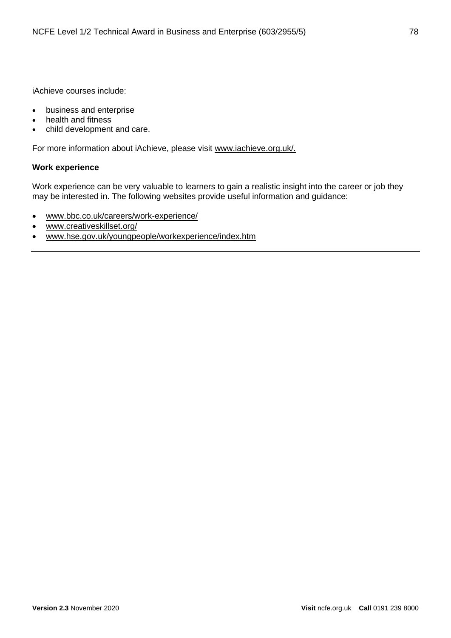iAchieve courses include:

- business and enterprise
- health and fitness
- child development and care.

For more information about iAchieve, please visit [www.iachieve.org.uk/.](http://www.iachieve.org.uk/)

# **Work experience**

Work experience can be very valuable to learners to gain a realistic insight into the career or job they may be interested in. The following websites provide useful information and guidance:

- [www.bbc.co.uk/careers/work-experience/](http://www.bbc.co.uk/careers/work-experience/)
- [www.creativeskillset.org/](http://www.creativeskillset.org/)
- [www.hse.gov.uk/youngpeople/workexperience/index.htm](http://www.hse.gov.uk/youngpeople/workexperience/index.htm)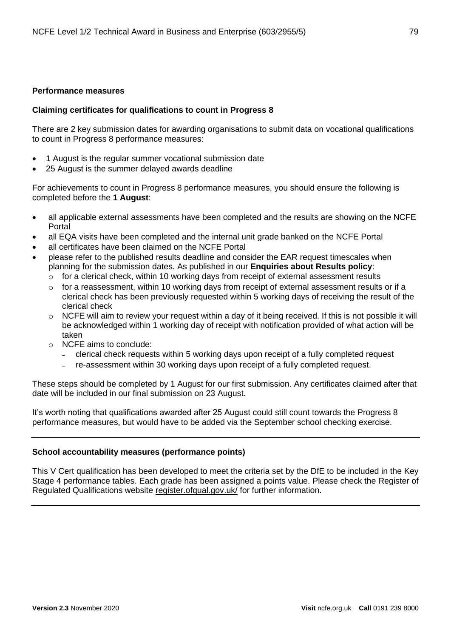# **Performance measures**

# **Claiming certificates for qualifications to count in Progress 8**

There are 2 key submission dates for awarding organisations to submit data on vocational qualifications to count in Progress 8 performance measures:

- 1 August is the regular summer vocational submission date
- 25 August is the summer delayed awards deadline

For achievements to count in Progress 8 performance measures, you should ensure the following is completed before the **1 August**:

- all applicable external assessments have been completed and the results are showing on the NCFE Portal
- all EQA visits have been completed and the internal unit grade banked on the NCFE Portal
- all certificates have been claimed on the NCFE Portal
- please refer to the published results deadline and consider the EAR request timescales when planning for the submission dates. As published in our **Enquiries about Results policy**:
	- o for a clerical check, within 10 working days from receipt of external assessment results
	- $\circ$  for a reassessment, within 10 working days from receipt of external assessment results or if a clerical check has been previously requested within 5 working days of receiving the result of the clerical check
	- o NCFE will aim to review your request within a day of it being received. If this is not possible it will be acknowledged within 1 working day of receipt with notification provided of what action will be taken
	- o NCFE aims to conclude:
		- ˗ clerical check requests within 5 working days upon receipt of a fully completed request
		- re-assessment within 30 working days upon receipt of a fully completed request.

These steps should be completed by 1 August for our first submission. Any certificates claimed after that date will be included in our final submission on 23 August.

It's worth noting that qualifications awarded after 25 August could still count towards the Progress 8 performance measures, but would have to be added via the September school checking exercise.

# **School accountability measures (performance points)**

This V Cert qualification has been developed to meet the criteria set by the DfE to be included in the Key Stage 4 performance tables. Each grade has been assigned a points value. Please check the Register of Regulated Qualifications website [register.ofqual.gov.uk/](http://register.ofqual.gov.uk/) for further information.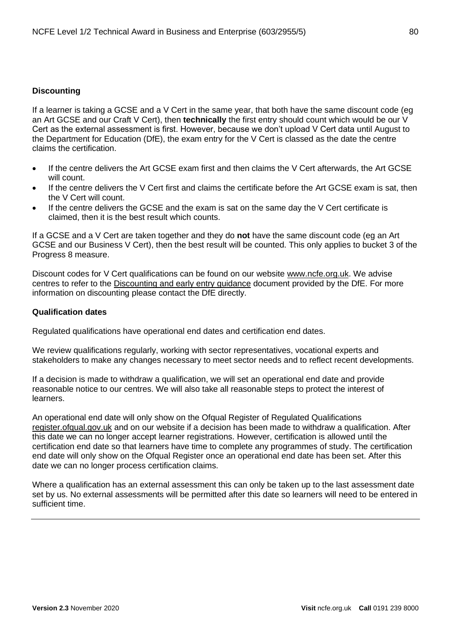# **Discounting**

If a learner is taking a GCSE and a V Cert in the same year, that both have the same discount code (eg an Art GCSE and our Craft V Cert), then **technically** the first entry should count which would be our V Cert as the external assessment is first. However, because we don't upload V Cert data until August to the Department for Education (DfE), the exam entry for the V Cert is classed as the date the centre claims the certification.

- If the centre delivers the Art GCSE exam first and then claims the V Cert afterwards, the Art GCSE will count.
- If the centre delivers the V Cert first and claims the certificate before the Art GCSE exam is sat, then the V Cert will count.
- If the centre delivers the GCSE and the exam is sat on the same day the V Cert certificate is claimed, then it is the best result which counts.

If a GCSE and a V Cert are taken together and they do **not** have the same discount code (eg an Art GCSE and our Business V Cert), then the best result will be counted. This only applies to bucket 3 of the Progress 8 measure.

Discount codes for V Cert qualifications can be found on our website [www.ncfe.org.uk.](http://www.ncfe.org.uk/) We advise centres to refer to the [Discounting and early entry guidance](https://www.gov.uk/government/uploads/system/uploads/attachment_data/file/651207/Key_stage_4_discounting_and_early_entry_guidance_2017.pdf) document provided by the DfE. For more information on discounting please contact the DfE directly.

# **Qualification dates**

Regulated qualifications have operational end dates and certification end dates.

We review qualifications regularly, working with sector representatives, vocational experts and stakeholders to make any changes necessary to meet sector needs and to reflect recent developments.

If a decision is made to withdraw a qualification, we will set an operational end date and provide reasonable notice to our centres. We will also take all reasonable steps to protect the interest of learners.

An operational end date will only show on the Ofqual Register of Regulated Qualifications [register.ofqual.gov.uk](https://register.ofqual.gov.uk/) and on our website if a decision has been made to withdraw a qualification. After this date we can no longer accept learner registrations. However, certification is allowed until the certification end date so that learners have time to complete any programmes of study. The certification end date will only show on the Ofqual Register once an operational end date has been set. After this date we can no longer process certification claims.

Where a qualification has an external assessment this can only be taken up to the last assessment date set by us. No external assessments will be permitted after this date so learners will need to be entered in sufficient time.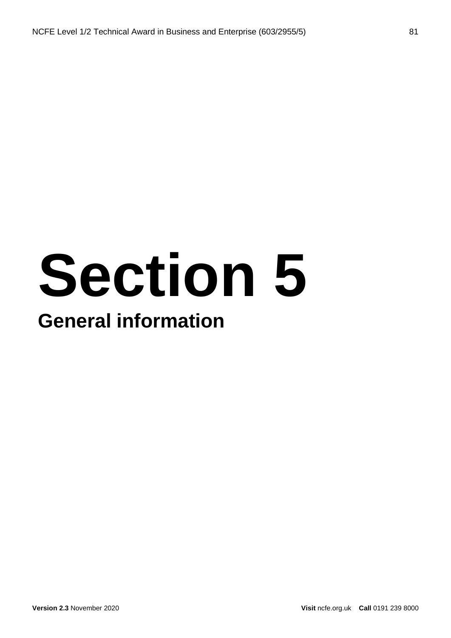# **Section 5 General information**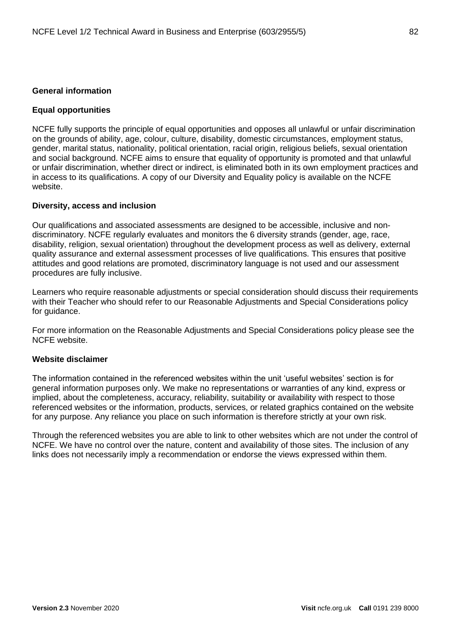# **General information**

### **Equal opportunities**

NCFE fully supports the principle of equal opportunities and opposes all unlawful or unfair discrimination on the grounds of ability, age, colour, culture, disability, domestic circumstances, employment status, gender, marital status, nationality, political orientation, racial origin, religious beliefs, sexual orientation and social background. NCFE aims to ensure that equality of opportunity is promoted and that unlawful or unfair discrimination, whether direct or indirect, is eliminated both in its own employment practices and in access to its qualifications. A copy of our Diversity and Equality policy is available on the NCFE website.

#### **Diversity, access and inclusion**

Our qualifications and associated assessments are designed to be accessible, inclusive and nondiscriminatory. NCFE regularly evaluates and monitors the 6 diversity strands (gender, age, race, disability, religion, sexual orientation) throughout the development process as well as delivery, external quality assurance and external assessment processes of live qualifications. This ensures that positive attitudes and good relations are promoted, discriminatory language is not used and our assessment procedures are fully inclusive.

Learners who require reasonable adjustments or special consideration should discuss their requirements with their Teacher who should refer to our Reasonable Adjustments and Special Considerations policy for guidance.

For more information on the Reasonable Adjustments and Special Considerations policy please see the NCFE website.

#### **Website disclaimer**

The information contained in the referenced websites within the unit 'useful websites' section is for general information purposes only. We make no representations or warranties of any kind, express or implied, about the completeness, accuracy, reliability, suitability or availability with respect to those referenced websites or the information, products, services, or related graphics contained on the website for any purpose. Any reliance you place on such information is therefore strictly at your own risk.

Through the referenced websites you are able to link to other websites which are not under the control of NCFE. We have no control over the nature, content and availability of those sites. The inclusion of any links does not necessarily imply a recommendation or endorse the views expressed within them.